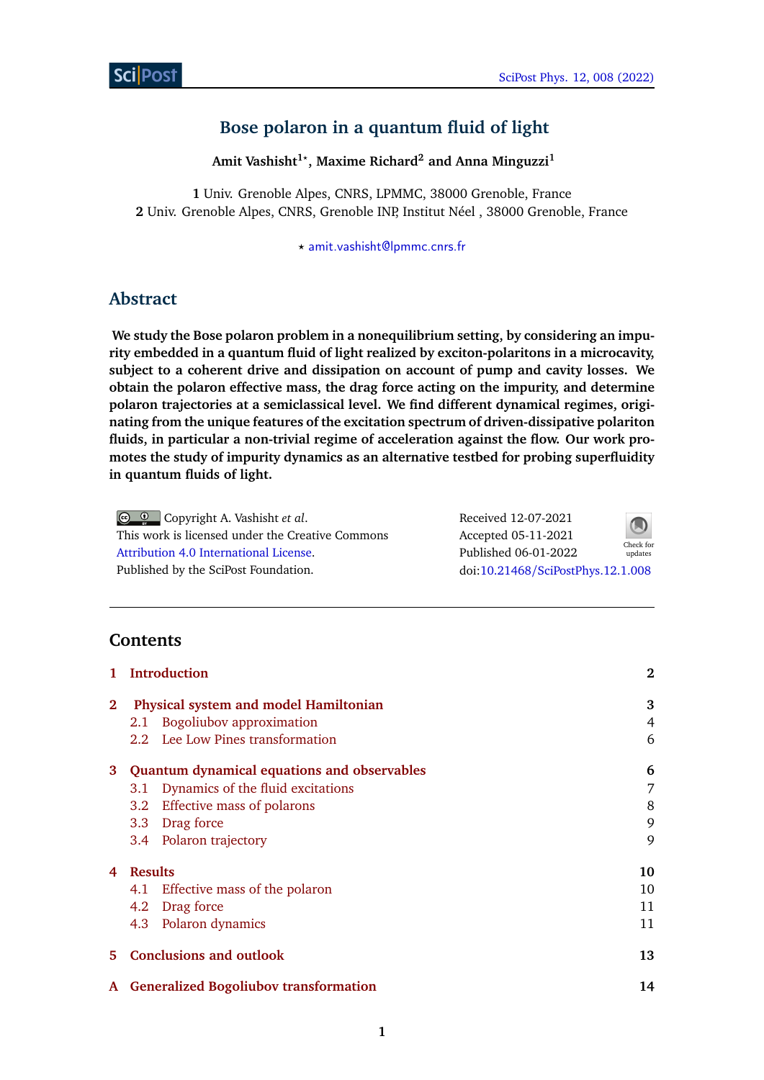# **Bose polaron in a quantum fluid of light**

**Amit Vashisht1***?* **, Maxime Richard<sup>2</sup> and Anna Minguzzi<sup>1</sup>**

**1** Univ. Grenoble Alpes, CNRS, LPMMC, 38000 Grenoble, France **2** Univ. Grenoble Alpes, CNRS, Grenoble INP, Institut Néel , 38000 Grenoble, France

*?* [amit.vashisht@lpmmc.cnrs.fr](mailto:amit.vashisht@lpmmc.cnrs.fr)

# **Abstract**

**We study the Bose polaron problem in a nonequilibrium setting, by considering an impurity embedded in a quantum fluid of light realized by exciton-polaritons in a microcavity, subject to a coherent drive and dissipation on account of pump and cavity losses. We obtain the polaron effective mass, the drag force acting on the impurity, and determine polaron trajectories at a semiclassical level. We find different dynamical regimes, originating from the unique features of the excitation spectrum of driven-dissipative polariton fluids, in particular a non-trivial regime of acceleration against the flow. Our work promotes the study of impurity dynamics as an alternative testbed for probing superfluidity in quantum fluids of light.**

| © © Copyright A. Vashisht et al.                 | Received 12-07-2021               | $\bigcirc$           |
|--------------------------------------------------|-----------------------------------|----------------------|
| This work is licensed under the Creative Commons | Accepted 05-11-2021               |                      |
| Attribution 4.0 International License.           | Published 06-01-2022              | Check for<br>updates |
| Published by the SciPost Foundation.             | doi:10.21468/SciPostPhys.12.1.008 |                      |
|                                                  |                                   |                      |

# **Contents**

| 1            | <b>Introduction</b>                           | $\mathbf{2}$ |
|--------------|-----------------------------------------------|--------------|
| $\mathbf{2}$ | Physical system and model Hamiltonian         | 3            |
|              | <b>Bogoliubov approximation</b><br>2.1        | 4            |
|              | 2.2 Lee Low Pines transformation              | 6            |
|              | 3 Quantum dynamical equations and observables | 6            |
|              | Dynamics of the fluid excitations<br>3.1      | 7            |
|              | Effective mass of polarons<br>3.2             | 8            |
|              | 3.3 Drag force                                | 9            |
|              | 3.4 Polaron trajectory                        | 9            |
| 4            | <b>Results</b>                                | 10           |
|              | Effective mass of the polaron<br>4.1          | 10           |
|              | 4.2 Drag force                                | 11           |
|              | 4.3 Polaron dynamics                          | 11           |
| 5.           | <b>Conclusions and outlook</b>                | 13           |
|              | A Generalized Bogoliubov transformation       | 14           |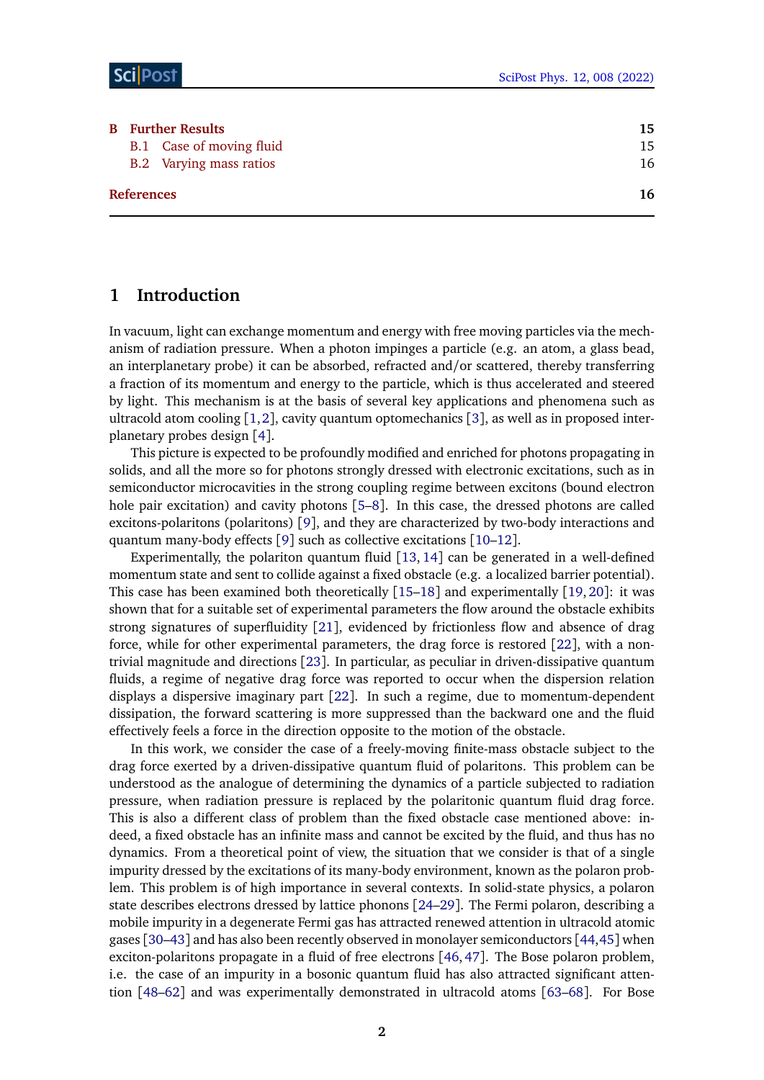| <b>B</b> Further Results |                                | 15 |
|--------------------------|--------------------------------|----|
|                          | B.1 Case of moving fluid       | 15 |
|                          | <b>B.2</b> Varying mass ratios | 16 |
| <b>References</b>        |                                | 16 |

## <span id="page-1-0"></span>**1 Introduction**

In vacuum, light can exchange momentum and energy with free moving particles via the mechanism of radiation pressure. When a photon impinges a particle (e.g. an atom, a glass bead, an interplanetary probe) it can be absorbed, refracted and/or scattered, thereby transferring a fraction of its momentum and energy to the particle, which is thus accelerated and steered by light. This mechanism is at the basis of several key applications and phenomena such as ultracold atom cooling  $[1,2]$  $[1,2]$  $[1,2]$  $[1,2]$ , cavity quantum optomechanics  $[3]$  $[3]$  $[3]$ , as well as in proposed interplanetary probes design [[4](#page-15-4)].

This picture is expected to be profoundly modified and enriched for photons propagating in solids, and all the more so for photons strongly dressed with electronic excitations, such as in semiconductor microcavities in the strong coupling regime between excitons (bound electron hole pair excitation) and cavity photons [[5–](#page-15-5)[8](#page-16-0)]. In this case, the dressed photons are called excitons-polaritons (polaritons) [[9](#page-16-1)], and they are characterized by two-body interactions and quantum many-body effects [[9](#page-16-1)] such as collective excitations [[10](#page-16-2)[–12](#page-16-3)].

Experimentally, the polariton quantum fluid [[13,](#page-16-4) [14](#page-16-5)] can be generated in a well-defined momentum state and sent to collide against a fixed obstacle (e.g. a localized barrier potential). This case has been examined both theoretically [[15](#page-16-6)[–18](#page-16-7)] and experimentally [[19,](#page-16-8) [20](#page-16-9)]: it was shown that for a suitable set of experimental parameters the flow around the obstacle exhibits strong signatures of superfluidity [[21](#page-16-10)], evidenced by frictionless flow and absence of drag force, while for other experimental parameters, the drag force is restored [[22](#page-16-11)], with a nontrivial magnitude and directions [[23](#page-17-0)]. In particular, as peculiar in driven-dissipative quantum fluids, a regime of negative drag force was reported to occur when the dispersion relation displays a dispersive imaginary part [[22](#page-16-11)]. In such a regime, due to momentum-dependent dissipation, the forward scattering is more suppressed than the backward one and the fluid effectively feels a force in the direction opposite to the motion of the obstacle.

In this work, we consider the case of a freely-moving finite-mass obstacle subject to the drag force exerted by a driven-dissipative quantum fluid of polaritons. This problem can be understood as the analogue of determining the dynamics of a particle subjected to radiation pressure, when radiation pressure is replaced by the polaritonic quantum fluid drag force. This is also a different class of problem than the fixed obstacle case mentioned above: indeed, a fixed obstacle has an infinite mass and cannot be excited by the fluid, and thus has no dynamics. From a theoretical point of view, the situation that we consider is that of a single impurity dressed by the excitations of its many-body environment, known as the polaron problem. This problem is of high importance in several contexts. In solid-state physics, a polaron state describes electrons dressed by lattice phonons [[24–](#page-17-1)[29](#page-17-2)]. The Fermi polaron, describing a mobile impurity in a degenerate Fermi gas has attracted renewed attention in ultracold atomic gases [[30–](#page-17-3)[43](#page-18-0)] and has also been recently observed in monolayer semiconductors [[44,](#page-18-1)[45](#page-18-2)] when exciton-polaritons propagate in a fluid of free electrons [[46,](#page-18-3) [47](#page-18-4)]. The Bose polaron problem, i.e. the case of an impurity in a bosonic quantum fluid has also attracted significant attention [[48–](#page-18-5)[62](#page-19-0)] and was experimentally demonstrated in ultracold atoms [[63](#page-19-1)[–68](#page-20-0)]. For Bose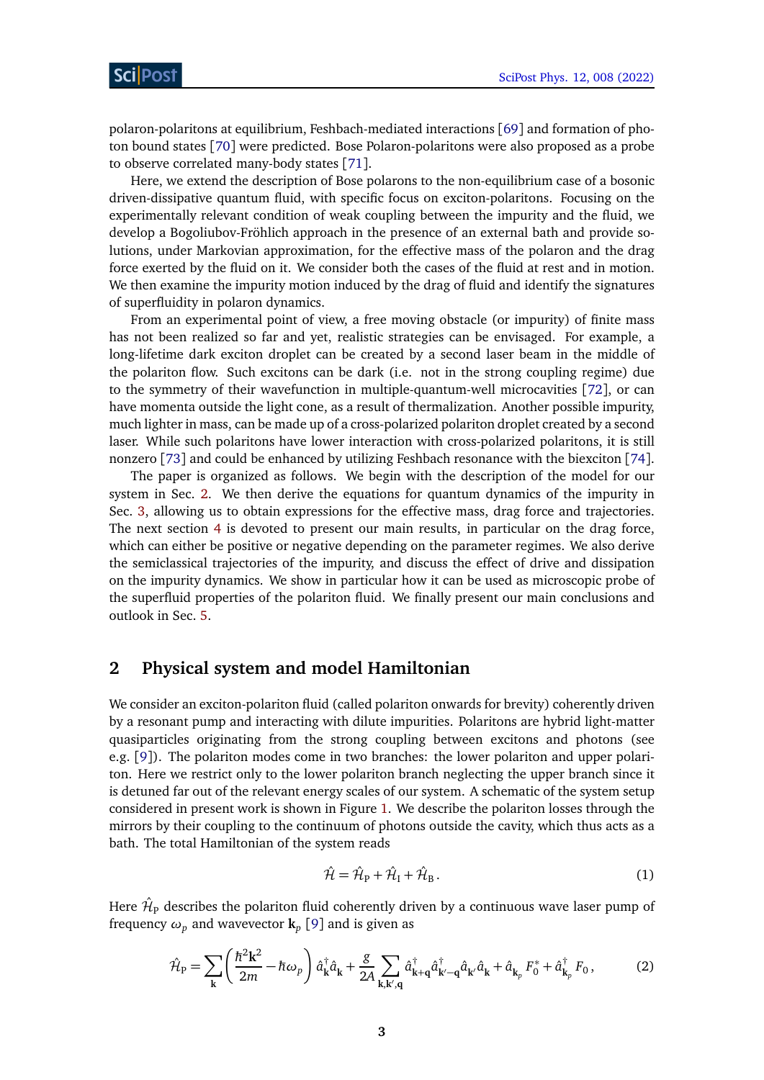polaron-polaritons at equilibrium, Feshbach-mediated interactions [[69](#page-20-1)] and formation of photon bound states [[70](#page-20-2)] were predicted. Bose Polaron-polaritons were also proposed as a probe to observe correlated many-body states [[71](#page-20-3)].

Here, we extend the description of Bose polarons to the non-equilibrium case of a bosonic driven-dissipative quantum fluid, with specific focus on exciton-polaritons. Focusing on the experimentally relevant condition of weak coupling between the impurity and the fluid, we develop a Bogoliubov-Fröhlich approach in the presence of an external bath and provide solutions, under Markovian approximation, for the effective mass of the polaron and the drag force exerted by the fluid on it. We consider both the cases of the fluid at rest and in motion. We then examine the impurity motion induced by the drag of fluid and identify the signatures of superfluidity in polaron dynamics.

From an experimental point of view, a free moving obstacle (or impurity) of finite mass has not been realized so far and yet, realistic strategies can be envisaged. For example, a long-lifetime dark exciton droplet can be created by a second laser beam in the middle of the polariton flow. Such excitons can be dark (i.e. not in the strong coupling regime) due to the symmetry of their wavefunction in multiple-quantum-well microcavities [[72](#page-20-4)], or can have momenta outside the light cone, as a result of thermalization. Another possible impurity, much lighter in mass, can be made up of a cross-polarized polariton droplet created by a second laser. While such polaritons have lower interaction with cross-polarized polaritons, it is still nonzero [[73](#page-20-5)] and could be enhanced by utilizing Feshbach resonance with the biexciton [[74](#page-20-6)].

The paper is organized as follows. We begin with the description of the model for our system in Sec. [2.](#page-2-0) We then derive the equations for quantum dynamics of the impurity in Sec. [3,](#page-5-1) allowing us to obtain expressions for the effective mass, drag force and trajectories. The next section [4](#page-9-0) is devoted to present our main results, in particular on the drag force, which can either be positive or negative depending on the parameter regimes. We also derive the semiclassical trajectories of the impurity, and discuss the effect of drive and dissipation on the impurity dynamics. We show in particular how it can be used as microscopic probe of the superfluid properties of the polariton fluid. We finally present our main conclusions and outlook in Sec. [5.](#page-12-0)

## <span id="page-2-0"></span>**2 Physical system and model Hamiltonian**

We consider an exciton-polariton fluid (called polariton onwards for brevity) coherently driven by a resonant pump and interacting with dilute impurities. Polaritons are hybrid light-matter quasiparticles originating from the strong coupling between excitons and photons (see e.g. [[9](#page-16-1)]). The polariton modes come in two branches: the lower polariton and upper polariton. Here we restrict only to the lower polariton branch neglecting the upper branch since it is detuned far out of the relevant energy scales of our system. A schematic of the system setup considered in present work is shown in Figure [1.](#page-3-1) We describe the polariton losses through the mirrors by their coupling to the continuum of photons outside the cavity, which thus acts as a bath. The total Hamiltonian of the system reads

<span id="page-2-2"></span><span id="page-2-1"></span>
$$
\hat{\mathcal{H}} = \hat{\mathcal{H}}_{\mathrm{P}} + \hat{\mathcal{H}}_{\mathrm{I}} + \hat{\mathcal{H}}_{\mathrm{B}}.
$$
\n(1)

Here  $\hat{\mathcal{H}}_\text{P}$  describes the polariton fluid coherently driven by a continuous wave laser pump of frequency  $\omega_p$  and wavevector  $\mathbf{k}_p$  [[9](#page-16-1)] and is given as

$$
\hat{\mathcal{H}}_{\rm P} = \sum_{\mathbf{k}} \left( \frac{\hbar^2 \mathbf{k}^2}{2m} - \hbar \omega_p \right) \hat{a}_{\mathbf{k}}^\dagger \hat{a}_{\mathbf{k}} + \frac{g}{2A} \sum_{\mathbf{k}, \mathbf{k}', \mathbf{q}} \hat{a}_{\mathbf{k} + \mathbf{q}}^\dagger \hat{a}_{\mathbf{k}' - \mathbf{q}}^\dagger \hat{a}_{\mathbf{k}'} \hat{a}_{\mathbf{k}} + \hat{a}_{\mathbf{k}_p} F_0^* + \hat{a}_{\mathbf{k}_p}^\dagger F_0 \,, \tag{2}
$$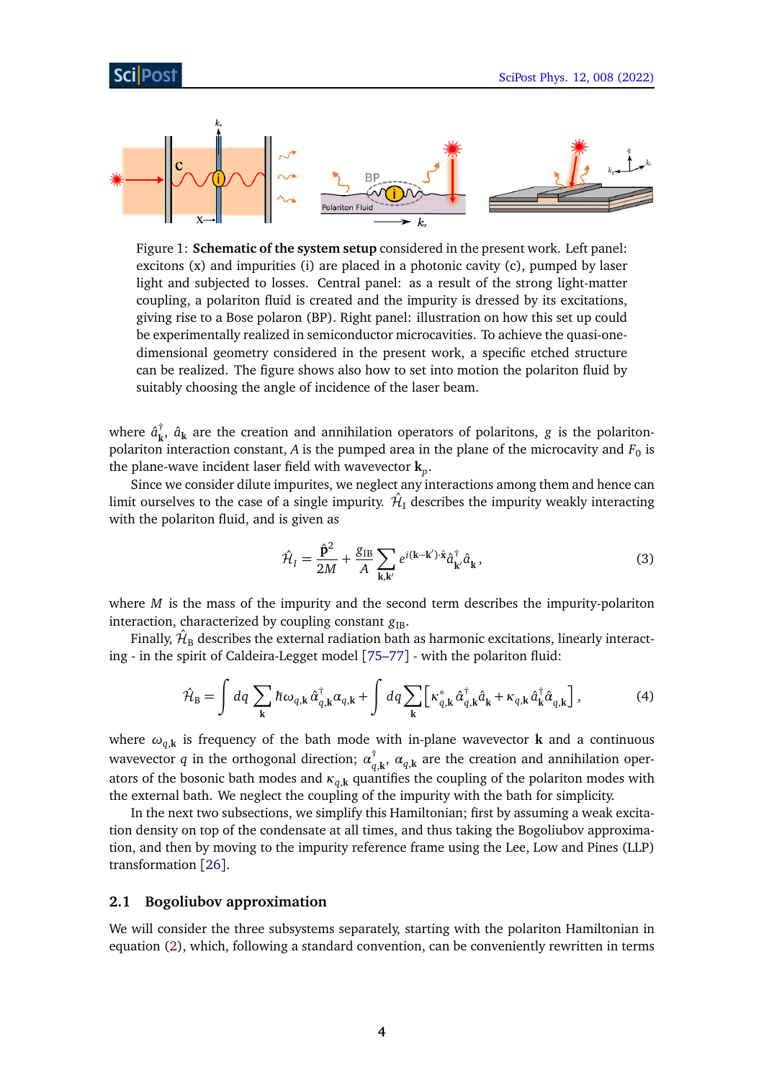<span id="page-3-1"></span>

Figure 1: **Schematic of the system setup** considered in the present work. Left panel: excitons  $(x)$  and impurities (i) are placed in a photonic cavity  $(c)$ , pumped by laser light and subjected to losses. Central panel: as a result of the strong light-matter coupling, a polariton fluid is created and the impurity is dressed by its excitations, giving rise to a Bose polaron (BP). Right panel: illustration on how this set up could be experimentally realized in semiconductor microcavities. To achieve the quasi-onedimensional geometry considered in the present work, a specific etched structure can be realized. The figure shows also how to set into motion the polariton fluid by suitably choosing the angle of incidence of the laser beam.

where  $\hat{a}_{\mathbf{k}}^{\dagger}$  $\mathbf{k}$ ,  $\hat{a}_\mathbf{k}$  are the creation and annihilation operators of polaritons, *g* is the polaritonpolariton interaction constant,  $A$  is the pumped area in the plane of the microcavity and  $F_0$  is the plane-wave incident laser field with wavevector **k***<sup>p</sup>* .

Since we consider dilute impurites, we neglect any interactions among them and hence can limit ourselves to the case of a single impurity.  $\hat{\mathcal{H}}_\text{I}$  describes the impurity weakly interacting with the polariton fluid, and is given as

<span id="page-3-3"></span><span id="page-3-2"></span>
$$
\hat{\mathcal{H}}_I = \frac{\hat{\mathbf{p}}^2}{2M} + \frac{g_{\text{IB}}}{A} \sum_{\mathbf{k}, \mathbf{k}'} e^{i(\mathbf{k} - \mathbf{k}') \cdot \hat{\mathbf{x}}} \hat{a}_{\mathbf{k}'}^\dagger \hat{a}_{\mathbf{k}},\tag{3}
$$

where *M* is the mass of the impurity and the second term describes the impurity-polariton interaction, characterized by coupling constant  $g_{IB}$ .

Finally,  $\hat{\mathcal{H}}_{\text{B}}$  describes the external radiation bath as harmonic excitations, linearly interacting - in the spirit of Caldeira-Legget model [[75](#page-20-7)[–77](#page-20-8)] - with the polariton fluid:

$$
\hat{\mathcal{H}}_{\mathrm{B}} = \int dq \sum_{\mathbf{k}} \hbar \omega_{q,\mathbf{k}} \hat{\alpha}_{q,\mathbf{k}}^{\dagger} \alpha_{q,\mathbf{k}} + \int dq \sum_{\mathbf{k}} \left[ \kappa_{q,\mathbf{k}}^{*} \hat{\alpha}_{q,\mathbf{k}}^{\dagger} \hat{a}_{\mathbf{k}} + \kappa_{q,\mathbf{k}} \hat{a}_{\mathbf{k}}^{\dagger} \hat{\alpha}_{q,\mathbf{k}} \right],
$$
\n(4)

where *ωq*,**<sup>k</sup>** is frequency of the bath mode with in-plane wavevector **k** and a continuous wavevector *q* in the orthogonal direction; *α* †  $\mathbf{q}_{q,\mathbf{k}}^{\dagger}$ ,  $\alpha_{q,\mathbf{k}}$  are the creation and annihilation operators of the bosonic bath modes and  $\kappa_{q,k}$  quantifies the coupling of the polariton modes with the external bath. We neglect the coupling of the impurity with the bath for simplicity.

In the next two subsections, we simplify this Hamiltonian; first by assuming a weak excitation density on top of the condensate at all times, and thus taking the Bogoliubov approximation, and then by moving to the impurity reference frame using the Lee, Low and Pines (LLP) transformation [[26](#page-17-4)].

### <span id="page-3-0"></span>**2.1 Bogoliubov approximation**

We will consider the three subsystems separately, starting with the polariton Hamiltonian in equation [\(2\)](#page-2-1), which, following a standard convention, can be conveniently rewritten in terms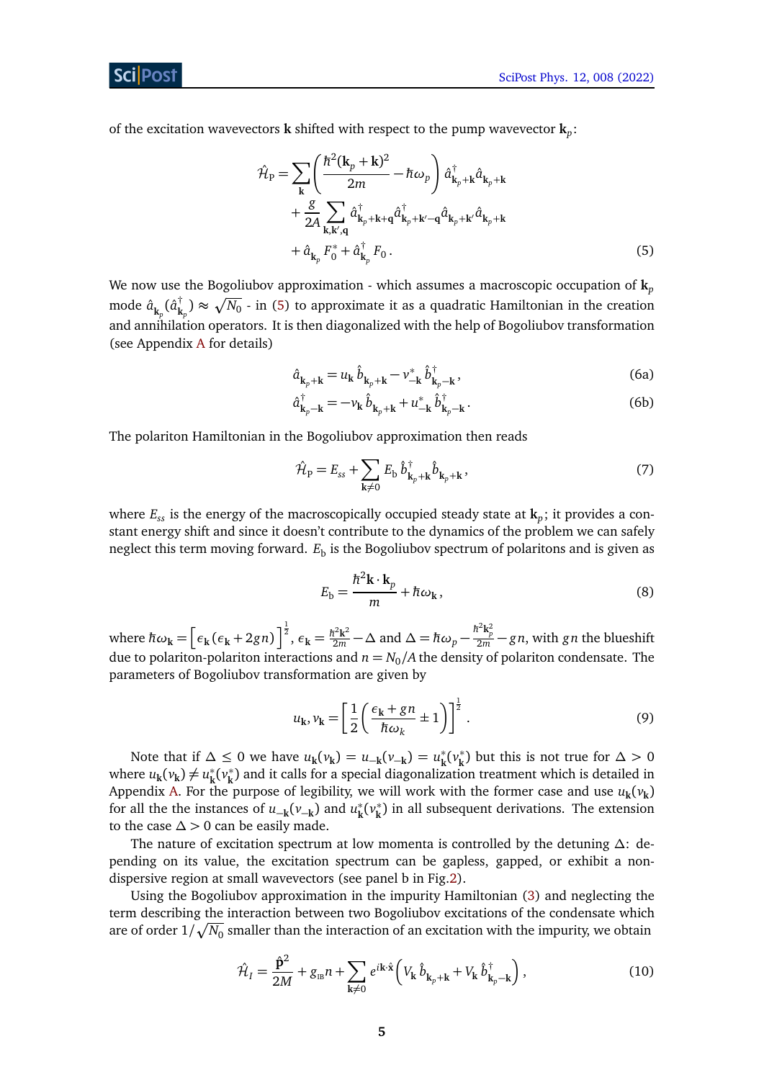of the excitation wavevectors **k** shifted with respect to the pump wavevector **k***<sup>p</sup>* :

$$
\hat{\mathcal{H}}_{\rm P} = \sum_{\mathbf{k}} \left( \frac{\hbar^2 (\mathbf{k}_p + \mathbf{k})^2}{2m} - \hbar \omega_p \right) \hat{a}_{\mathbf{k}_p + \mathbf{k}}^\dagger \hat{a}_{\mathbf{k}_p + \mathbf{k}} \n+ \frac{g}{2A} \sum_{\mathbf{k}, \mathbf{k}', \mathbf{q}} \hat{a}_{\mathbf{k}_p + \mathbf{k} + \mathbf{q}}^\dagger \hat{a}_{\mathbf{k}_p + \mathbf{k}' - \mathbf{q}}^\dagger \hat{a}_{\mathbf{k}_p + \mathbf{k}'} \hat{a}_{\mathbf{k}_p + \mathbf{k}} \n+ \hat{a}_{\mathbf{k}_p} F_0^* + \hat{a}_{\mathbf{k}_p}^\dagger F_0.
$$
\n(5)

We now use the Bogoliubov approximation - which assumes a macroscopic occupation of **k***<sup>p</sup>* mode *a*ˆ **k***p* (*a*ˆ †  $\bar{k}_{\mathbf{k}_p}^{\dagger}) \approx \sqrt{N_0}$  - in [\(5\)](#page-4-0) to approximate it as a quadratic Hamiltonian in the creation and annihilation operators. It is then diagonalized with the help of Bogoliubov transformation (see Appendix [A](#page-13-0) for details)

<span id="page-4-0"></span>
$$
\hat{a}_{k_p+k} = u_k \hat{b}_{k_p+k} - v_{-k}^* \hat{b}_{k_p-k}^{\dagger},
$$
\n(6a)

$$
\hat{a}_{\mathbf{k}_p - \mathbf{k}}^{\dagger} = -\nu_{\mathbf{k}} \,\hat{b}_{\mathbf{k}_p + \mathbf{k}} + u_{-\mathbf{k}}^* \,\hat{b}_{\mathbf{k}_p - \mathbf{k}}^{\dagger}.
$$
 (6b)

The polariton Hamiltonian in the Bogoliubov approximation then reads

<span id="page-4-1"></span>
$$
\hat{\mathcal{H}}_{\mathbf{p}} = E_{ss} + \sum_{\mathbf{k} \neq 0} E_{\mathbf{b}} \hat{b}_{\mathbf{k}_p + \mathbf{k}}^{\dagger} \hat{b}_{\mathbf{k}_p + \mathbf{k}} , \qquad (7)
$$

where *Ess* is the energy of the macroscopically occupied steady state at **k***<sup>p</sup>* ; it provides a constant energy shift and since it doesn't contribute to the dynamics of the problem we can safely neglect this term moving forward.  $E_\mathrm{b}$  is the Bogoliubov spectrum of polaritons and is given as

$$
E_{\rm b} = \frac{\hbar^2 \mathbf{k} \cdot \mathbf{k}_p}{m} + \hbar \omega_{\mathbf{k}},
$$
\n(8)

where  $\hbar\omega_{\mathbf{k}} = \left[\epsilon_{\mathbf{k}}(\epsilon_{\mathbf{k}} + 2gn)\right]^{\frac{1}{2}}$ ,  $\epsilon_{\mathbf{k}} = \frac{\hbar^2\mathbf{k}^2}{2m} - \Delta$  and  $\Delta = \hbar\omega_p - \frac{\hbar^2\mathbf{k}_p^2}{2m} - gn$ , with gn the blueshift due to polariton-polariton interactions and  $n = N_0/A$  the density of polariton condensate. The parameters of Bogoliubov transformation are given by

$$
u_{k}, v_{k} = \left[\frac{1}{2}\left(\frac{\epsilon_{k} + gn}{\hbar \omega_{k}} \pm 1\right)\right]^{\frac{1}{2}}.
$$
 (9)

Note that if  $\Delta \leq 0$  we have  $u_k(v_k) = u_{-k}(v_{-k}) = u_k^*$ **k** (*v* ∗  $\binom{*}{k}$  but this is not true for  $\Delta > 0$ where  $u_{\mathbf{k}}(v_{\mathbf{k}}) \neq u_{\mathbf{k}}^*$ **k** (*v* ∗ **k** ) and it calls for a special diagonalization treatment which is detailed in Appendix [A.](#page-13-0) For the purpose of legibility, we will work with the former case and use  $u_{\bf k} (v_{\bf k})$ for all the the instances of  $u_{-{\bf k}}(v_{-{\bf k}})$  and  $u_{\bf k}^*$ **k** (*v* ∗ **k** ) in all subsequent derivations. The extension to the case  $\Delta > 0$  can be easily made.

The nature of excitation spectrum at low momenta is controlled by the detuning *∆*: depending on its value, the excitation spectrum can be gapless, gapped, or exhibit a non-dispersive region at small wavevectors (see panel b in Fig[.2\)](#page-9-2).

Using the Bogoliubov approximation in the impurity Hamiltonian [\(3\)](#page-3-2) and neglecting the term describing the interaction between two Bogoliubov excitations of the condensate which are of order  $1/\sqrt{N_0}$  smaller than the interaction of an excitation with the impurity, we obtain

<span id="page-4-2"></span>
$$
\hat{\mathcal{H}}_I = \frac{\hat{\mathbf{p}}^2}{2M} + g_{\text{IB}} n + \sum_{\mathbf{k} \neq 0} e^{i\mathbf{k} \cdot \hat{\mathbf{x}}} \left( V_{\mathbf{k}} \hat{b}_{\mathbf{k}_p + \mathbf{k}} + V_{\mathbf{k}} \hat{b}_{\mathbf{k}_p - \mathbf{k}}^\dagger \right), \tag{10}
$$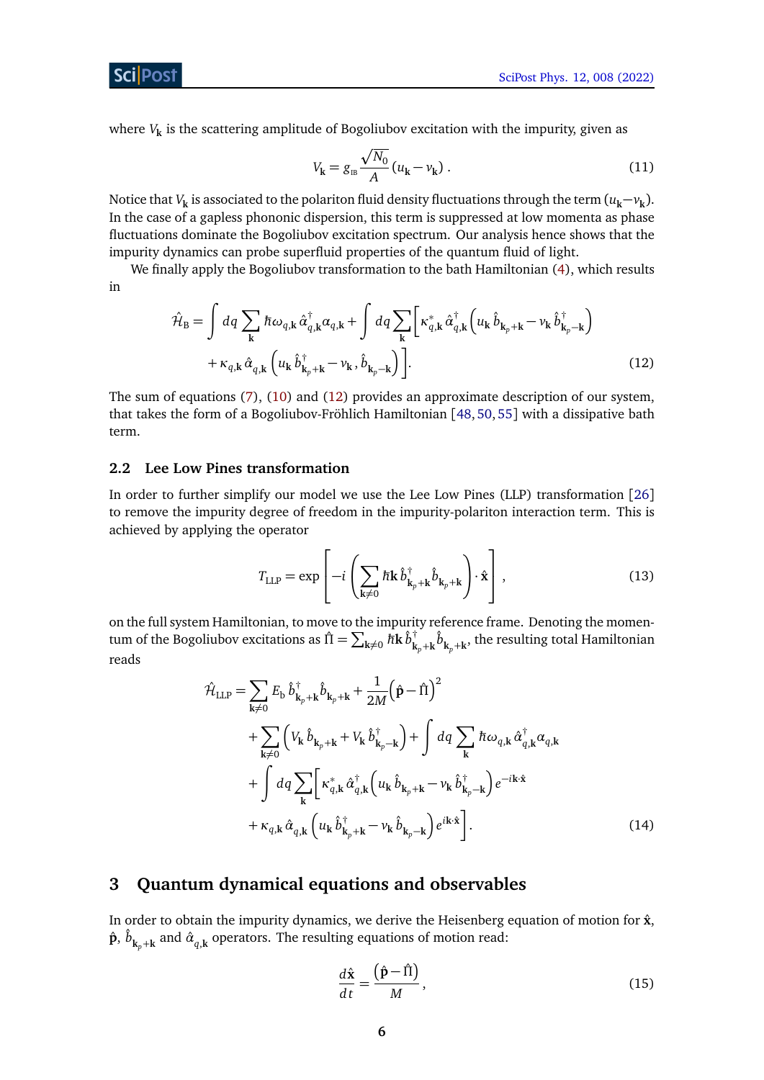where *V***<sup>k</sup>** is the scattering amplitude of Bogoliubov excitation with the impurity, given as

<span id="page-5-2"></span>
$$
V_{\mathbf{k}} = g_{\mathbf{B}} \frac{\sqrt{N_0}}{A} (u_{\mathbf{k}} - v_{\mathbf{k}}).
$$
 (11)

Notice that  $V_{\bf k}$  is associated to the polariton fluid density fluctuations through the term  $(u_{\bf k}-v_{\bf k})$ . In the case of a gapless phononic dispersion, this term is suppressed at low momenta as phase fluctuations dominate the Bogoliubov excitation spectrum. Our analysis hence shows that the impurity dynamics can probe superfluid properties of the quantum fluid of light.

We finally apply the Bogoliubov transformation to the bath Hamiltonian [\(4\)](#page-3-3), which results in

$$
\hat{\mathcal{H}}_{\mathrm{B}} = \int dq \sum_{\mathbf{k}} \hbar \omega_{q,\mathbf{k}} \hat{\alpha}_{q,\mathbf{k}}^{\dagger} \alpha_{q,\mathbf{k}} + \int dq \sum_{\mathbf{k}} \left[ \kappa_{q,\mathbf{k}}^{*} \hat{\alpha}_{q,\mathbf{k}}^{\dagger} \left( u_{\mathbf{k}} \hat{b}_{\mathbf{k}_{p}+\mathbf{k}} - v_{\mathbf{k}} \hat{b}_{\mathbf{k}_{p}-\mathbf{k}}^{\dagger} \right) \right. \\
\left. + \kappa_{q,\mathbf{k}} \hat{\alpha}_{q,\mathbf{k}} \left( u_{\mathbf{k}} \hat{b}_{\mathbf{k}_{p}+\mathbf{k}}^{\dagger} - v_{\mathbf{k}}, \hat{b}_{\mathbf{k}_{p}-\mathbf{k}} \right) \right].
$$
\n(12)

The sum of equations [\(7\)](#page-4-1), [\(10\)](#page-4-2) and [\(12\)](#page-5-2) provides an approximate description of our system, that takes the form of a Bogoliubov-Fröhlich Hamiltonian [[48,](#page-18-5) [50,](#page-18-6) [55](#page-19-2)] with a dissipative bath term.

#### <span id="page-5-0"></span>**2.2 Lee Low Pines transformation**

In order to further simplify our model we use the Lee Low Pines (LLP) transformation [[26](#page-17-4)] to remove the impurity degree of freedom in the impurity-polariton interaction term. This is achieved by applying the operator

$$
T_{\text{LLP}} = \exp\left[-i\left(\sum_{\mathbf{k}\neq 0} \hbar \mathbf{k} \,\hat{b}_{\mathbf{k}_p+\mathbf{k}}^\dagger \hat{b}_{\mathbf{k}_p+\mathbf{k}}\right) \cdot \hat{\mathbf{x}}\right],\tag{13}
$$

on the full system Hamiltonian, to move to the impurity reference frame. Denoting the momentum of the Bogoliubov excitations as  $\hat{\Pi} = \sum_{{\bf k}\neq 0} \hbar {\bf k}\, \hat{b}^\dagger_{\bf k}$  $\hat{\bm{k}}_{\mathbf{k}_p+\mathbf{k}}^{\dagger} \hat{b}_{\mathbf{k}_p+\mathbf{k}}^{\phantom{\dagger}},$  the resulting total Hamiltonian reads

$$
\hat{\mathcal{H}}_{\text{LLP}} = \sum_{\mathbf{k}\neq 0} E_{\mathbf{b}} \hat{b}_{\mathbf{k}_{p}+\mathbf{k}}^{\dagger} \hat{b}_{\mathbf{k}_{p}+\mathbf{k}} + \frac{1}{2M} (\hat{\mathbf{p}} - \hat{\mathbf{\Pi}})^{2} \n+ \sum_{\mathbf{k}\neq 0} \left( V_{\mathbf{k}} \hat{b}_{\mathbf{k}_{p}+\mathbf{k}} + V_{\mathbf{k}} \hat{b}_{\mathbf{k}_{p}-\mathbf{k}}^{\dagger} \right) + \int dq \sum_{\mathbf{k}} \hbar \omega_{q,\mathbf{k}} \hat{\alpha}_{q,\mathbf{k}}^{\dagger} \alpha_{q,\mathbf{k}} \n+ \int dq \sum_{\mathbf{k}} \left[ \kappa_{q,\mathbf{k}}^{*} \hat{\alpha}_{q,\mathbf{k}}^{\dagger} \left( u_{\mathbf{k}} \hat{b}_{\mathbf{k}_{p}+\mathbf{k}} - v_{\mathbf{k}} \hat{b}_{\mathbf{k}_{p}-\mathbf{k}}^{\dagger} \right) e^{-i\mathbf{k}\cdot\hat{\mathbf{x}}}} \n+ \kappa_{q,\mathbf{k}} \hat{\alpha}_{q,\mathbf{k}} \left( u_{\mathbf{k}} \hat{b}_{\mathbf{k}_{p}+\mathbf{k}}^{\dagger} - v_{\mathbf{k}} \hat{b}_{\mathbf{k}_{p}-\mathbf{k}} \right) e^{i\mathbf{k}\cdot\hat{\mathbf{x}}}\n\right].
$$
\n(14)

# <span id="page-5-1"></span>**3 Quantum dynamical equations and observables**

In order to obtain the impurity dynamics, we derive the Heisenberg equation of motion for  $\hat{\mathbf{x}}$ ,  $\hat{\textbf{p}}, \, \hat{b}_{\textbf{k}_p+\textbf{k}}$  and  $\hat{a}_{q,\textbf{k}}$  operators. The resulting equations of motion read:

$$
\frac{d\hat{\mathbf{x}}}{dt} = \frac{(\hat{\mathbf{p}} - \hat{\Pi})}{M},\tag{15}
$$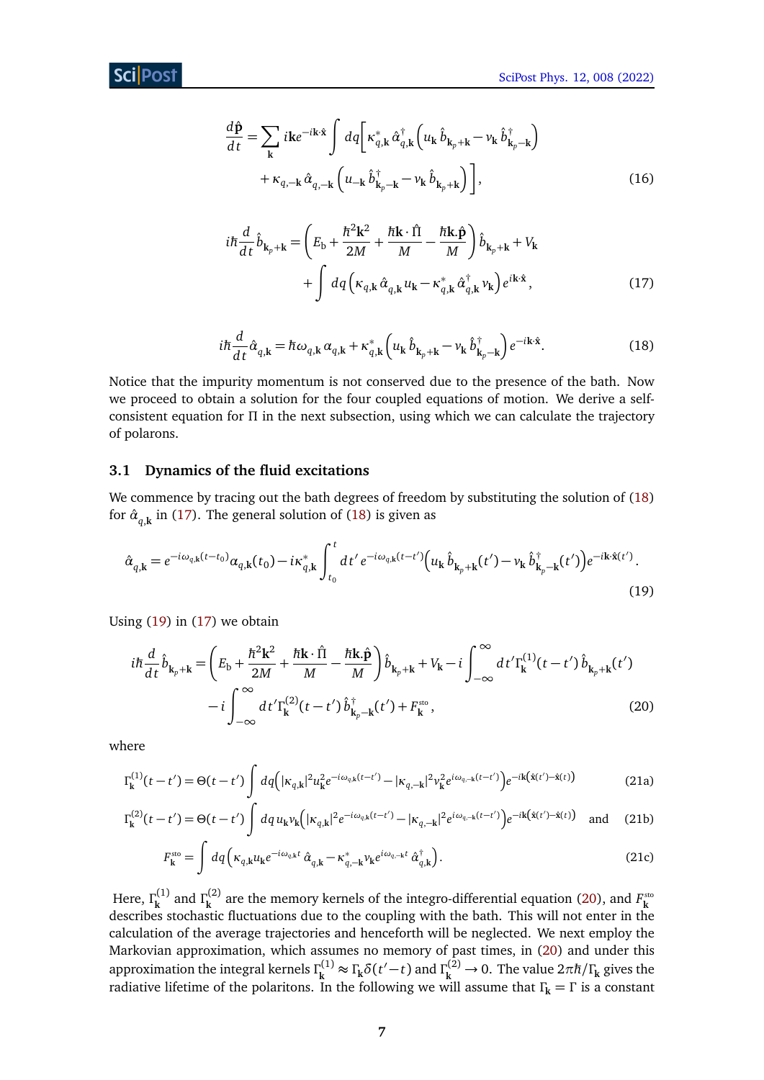<span id="page-6-5"></span>
$$
\frac{d\hat{\mathbf{p}}}{dt} = \sum_{\mathbf{k}} i\mathbf{k}e^{-i\mathbf{k}\cdot\hat{\mathbf{x}}}\int dq \bigg[\kappa_{q,\mathbf{k}}^{*}\hat{\alpha}_{q,\mathbf{k}}^{\dagger} \bigg(u_{\mathbf{k}}\hat{b}_{\mathbf{k}_{p}+\mathbf{k}} - v_{\mathbf{k}}\hat{b}_{\mathbf{k}_{p}-\mathbf{k}}^{\dagger}\bigg) + \kappa_{q,-\mathbf{k}}\hat{\alpha}_{q,-\mathbf{k}} \bigg(u_{-\mathbf{k}}\hat{b}_{\mathbf{k}_{p}-\mathbf{k}}^{\dagger} - v_{\mathbf{k}}\hat{b}_{\mathbf{k}_{p}+\mathbf{k}}\bigg)\bigg],
$$
\n(16)

<span id="page-6-2"></span>
$$
i\hbar \frac{d}{dt} \hat{b}_{\mathbf{k}_p + \mathbf{k}} = \left( E_{\mathbf{b}} + \frac{\hbar^2 \mathbf{k}^2}{2M} + \frac{\hbar \mathbf{k} \cdot \hat{\mathbf{\Pi}}}{M} - \frac{\hbar \mathbf{k} \cdot \hat{\mathbf{p}}}{M} \right) \hat{b}_{\mathbf{k}_p + \mathbf{k}} + V_{\mathbf{k}}
$$
  
+ 
$$
\int dq \left( \kappa_{q, \mathbf{k}} \hat{\alpha}_{q, \mathbf{k}} u_{\mathbf{k}} - \kappa_{q, \mathbf{k}}^* \hat{\alpha}_{q, \mathbf{k}}^\dagger v_{\mathbf{k}} \right) e^{i\mathbf{k} \cdot \hat{\mathbf{x}}},
$$
(17)

<span id="page-6-3"></span><span id="page-6-1"></span>
$$
i\hbar \frac{d}{dt} \hat{\alpha}_{q,\mathbf{k}} = \hbar \omega_{q,\mathbf{k}} \alpha_{q,\mathbf{k}} + \kappa_{q,\mathbf{k}}^* \left( u_{\mathbf{k}} \hat{b}_{\mathbf{k}_p + \mathbf{k}} - v_{\mathbf{k}} \hat{b}_{\mathbf{k}_p - \mathbf{k}}^{\dagger} \right) e^{-i\mathbf{k}\cdot\hat{\mathbf{x}}}.
$$
 (18)

Notice that the impurity momentum is not conserved due to the presence of the bath. Now we proceed to obtain a solution for the four coupled equations of motion. We derive a selfconsistent equation for *Π* in the next subsection, using which we can calculate the trajectory of polarons.

### <span id="page-6-0"></span>**3.1 Dynamics of the fluid excitations**

We commence by tracing out the bath degrees of freedom by substituting the solution of [\(18\)](#page-6-1) for  $\hat{\alpha}_{q,\mathbf{k}}^{\phantom{\dag}}$  in [\(17\)](#page-6-2). The general solution of [\(18\)](#page-6-1) is given as

$$
\hat{\alpha}_{q,\mathbf{k}} = e^{-i\omega_{q,\mathbf{k}}(t-t_0)}\alpha_{q,\mathbf{k}}(t_0) - i\kappa_{q,\mathbf{k}}^* \int_{t_0}^t dt' e^{-i\omega_{q,\mathbf{k}}(t-t')} \Big( u_{\mathbf{k}} \hat{b}_{\mathbf{k}_p+\mathbf{k}}(t') - v_{\mathbf{k}} \hat{b}_{\mathbf{k}_p-\mathbf{k}}^\dagger(t') \Big) e^{-i\mathbf{k}\cdot\hat{\mathbf{x}}(t')}.
$$
\n(19)

Using [\(19\)](#page-6-3) in [\(17\)](#page-6-2) we obtain

$$
i\hbar \frac{d}{dt} \hat{b}_{\mathbf{k}_p+\mathbf{k}} = \left( E_{\mathbf{b}} + \frac{\hbar^2 \mathbf{k}^2}{2M} + \frac{\hbar \mathbf{k} \cdot \hat{\mathbf{l}}}{M} - \frac{\hbar \mathbf{k} \cdot \hat{\mathbf{p}}}{M} \right) \hat{b}_{\mathbf{k}_p+\mathbf{k}} + V_{\mathbf{k}} - i \int_{-\infty}^{\infty} dt' \Gamma_{\mathbf{k}}^{(1)}(t - t') \hat{b}_{\mathbf{k}_p+\mathbf{k}}(t')
$$

$$
- i \int_{-\infty}^{\infty} dt' \Gamma_{\mathbf{k}}^{(2)}(t - t') \hat{b}_{\mathbf{k}_p-\mathbf{k}}^{\dagger}(t') + F_{\mathbf{k}}^{\text{sto}}, \tag{20}
$$

where

$$
\Gamma_{\mathbf{k}}^{(1)}(t-t') = \Theta(t-t') \int dq \Big( |\kappa_{q,\mathbf{k}}|^2 u_{\mathbf{k}}^2 e^{-i\omega_{q,\mathbf{k}}(t-t')} - |\kappa_{q,-\mathbf{k}}|^2 v_{\mathbf{k}}^2 e^{i\omega_{q,-\mathbf{k}}(t-t')} \Big) e^{-i\mathbf{k}(\hat{\mathbf{x}}(t') - \hat{\mathbf{x}}(t))}
$$
(21a)

$$
\Gamma_{\mathbf{k}}^{(2)}(t-t') = \Theta(t-t') \int dq u_{\mathbf{k}} v_{\mathbf{k}} \Big( |\kappa_{q,\mathbf{k}}|^2 e^{-i\omega_{q,\mathbf{k}}(t-t')} - |\kappa_{q,-\mathbf{k}}|^2 e^{i\omega_{q,-\mathbf{k}}(t-t')} \Big) e^{-i\mathbf{k}(\hat{\mathbf{x}}(t') - \hat{\mathbf{x}}(t))} \quad \text{and} \quad (21b)
$$

<span id="page-6-4"></span>
$$
F_{\mathbf{k}}^{\text{sto}} = \int dq \left( \kappa_{q,\mathbf{k}} u_{\mathbf{k}} e^{-i\omega_{q,\mathbf{k}}t} \hat{\alpha}_{q,\mathbf{k}} - \kappa_{q,-\mathbf{k}}^{*} v_{\mathbf{k}} e^{i\omega_{q,-\mathbf{k}}t} \hat{\alpha}_{q,\mathbf{k}}^{\dagger} \right).
$$
 (21c)

Here, *Γ* (1) <sup>(1)</sup> and Γ<sup>(2)</sup> **k** Here,  $\Gamma_k^{(1)}$  and  $\Gamma_k^{(2)}$  are the memory kernels of the integro-differential equation [\(20\)](#page-6-4), and  $F_k^{\text{sto}}$  describes stochastic fluctuations due to the coupling with the bath. This will not enter in the calculation of the average trajectories and henceforth will be neglected. We next employ the Markovian approximation, which assumes no memory of past times, in [\(20\)](#page-6-4) and under this approximation the integral kernels *Γ* (1)  $\Gamma_k^{(1)}$  ≈  $\Gamma_k \delta(t'-t)$  and  $\Gamma_k^{(2)}$  → 0. The value 2πħ/ $\Gamma_k$  gives the radiative lifetime of the polaritons. In the following we will assume that *Γ***<sup>k</sup>** = *Γ* is a constant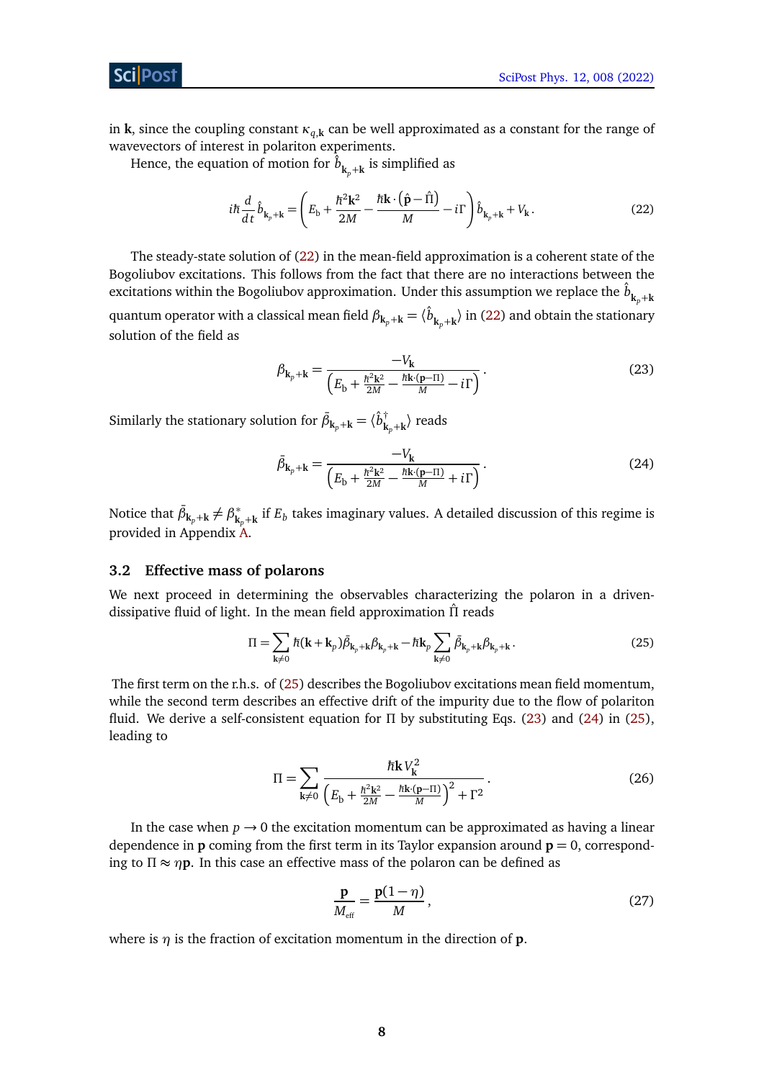Sci Post

in **k**, since the coupling constant *κq*,**<sup>k</sup>** can be well approximated as a constant for the range of wavevectors of interest in polariton experiments.

Hence, the equation of motion for  $\hat{b}^{\phantom{\dag}}_{\mathbf{k}_{p}+\mathbf{k}}$  is simplified as

$$
i\hbar \frac{d}{dt}\hat{b}_{\mathbf{k}_p+\mathbf{k}} = \left(E_\mathbf{b} + \frac{\hbar^2 \mathbf{k}^2}{2M} - \frac{\hbar \mathbf{k} \cdot (\hat{\mathbf{p}} - \hat{\mathbf{\Pi}})}{M} - i\Gamma\right) \hat{b}_{\mathbf{k}_p+\mathbf{k}} + V_\mathbf{k}.
$$
 (22)

The steady-state solution of [\(22\)](#page-7-1) in the mean-field approximation is a coherent state of the Bogoliubov excitations. This follows from the fact that there are no interactions between the excitations within the Bogoliubov approximation. Under this assumption we replace the  $\hat{b}_{{\bf k}_p+{\bf k}_p}$ quantum operator with a classical mean field  $\beta_{\bf k_p+\bf k}=\langle \hat{b}^{}_{\bf k_p+\bf k}\rangle$  in [\(22\)](#page-7-1) and obtain the stationary solution of the field as

<span id="page-7-3"></span><span id="page-7-1"></span>
$$
\beta_{\mathbf{k}_p + \mathbf{k}} = \frac{-V_{\mathbf{k}}}{\left(E_{\mathbf{b}} + \frac{\hbar^2 \mathbf{k}^2}{2M} - \frac{\hbar \mathbf{k} \cdot (\mathbf{p} - \Pi)}{M} - i\Gamma\right)}.
$$
\n(23)

Similarly the stationary solution for  $\bar{\beta}_{\mathbf{k}_p+\mathbf{k}} = \langle \hat{b}^{\dagger}_{\mathbf{k}} \rangle$  $\phi^{\dagger}_{\mathbf{k}_p+\mathbf{k}}\rangle$  reads

<span id="page-7-4"></span>
$$
\bar{\beta}_{\mathbf{k}_p + \mathbf{k}} = \frac{-V_{\mathbf{k}}}{\left(E_{\mathbf{b}} + \frac{\hbar^2 \mathbf{k}^2}{2M} - \frac{\hbar \mathbf{k} \cdot (\mathbf{p} - \Pi)}{M} + i\Gamma\right)}.
$$
\n(24)

Notice that  $\bar{\beta}_{\mathbf{k}_p+\mathbf{k}} \neq \beta_{\mathbf{k}}^*$  $\boldsymbol{k}_p+\boldsymbol{k}$  if  $E_b$  takes imaginary values. A detailed discussion of this regime is provided in Appendix [A.](#page-13-0)

#### <span id="page-7-0"></span>**3.2 Effective mass of polarons**

We next proceed in determining the observables characterizing the polaron in a drivendissipative fluid of light. In the mean field approximation *Π*ˆ reads

$$
\Pi = \sum_{\mathbf{k}\neq 0} \hbar(\mathbf{k} + \mathbf{k}_p) \bar{\beta}_{\mathbf{k}_p + \mathbf{k}} \beta_{\mathbf{k}_p + \mathbf{k}} - \hbar \mathbf{k}_p \sum_{\mathbf{k}\neq 0} \bar{\beta}_{\mathbf{k}_p + \mathbf{k}} \beta_{\mathbf{k}_p + \mathbf{k}}.
$$
 (25)

The first term on the r.h.s. of [\(25\)](#page-7-2) describes the Bogoliubov excitations mean field momentum, while the second term describes an effective drift of the impurity due to the flow of polariton fluid. We derive a self-consistent equation for *Π* by substituting Eqs. [\(23\)](#page-7-3) and [\(24\)](#page-7-4) in [\(25\)](#page-7-2), leading to

<span id="page-7-2"></span>
$$
\Pi = \sum_{\mathbf{k} \neq 0} \frac{\hbar \mathbf{k} V_{\mathbf{k}}^2}{\left( E_{\mathbf{b}} + \frac{\hbar^2 \mathbf{k}^2}{2M} - \frac{\hbar \mathbf{k} \cdot (\mathbf{p} - \Pi)}{M} \right)^2 + \Gamma^2}.
$$
(26)

In the case when  $p \rightarrow 0$  the excitation momentum can be approximated as having a linear dependence in **p** coming from the first term in its Taylor expansion around  $\mathbf{p} = 0$ , corresponding to *Π* ≈ *η***p**. In this case an effective mass of the polaron can be defined as

<span id="page-7-6"></span><span id="page-7-5"></span>
$$
\frac{\mathbf{p}}{M_{\text{eff}}} = \frac{\mathbf{p}(1-\eta)}{M},\tag{27}
$$

where is  $\eta$  is the fraction of excitation momentum in the direction of **p**.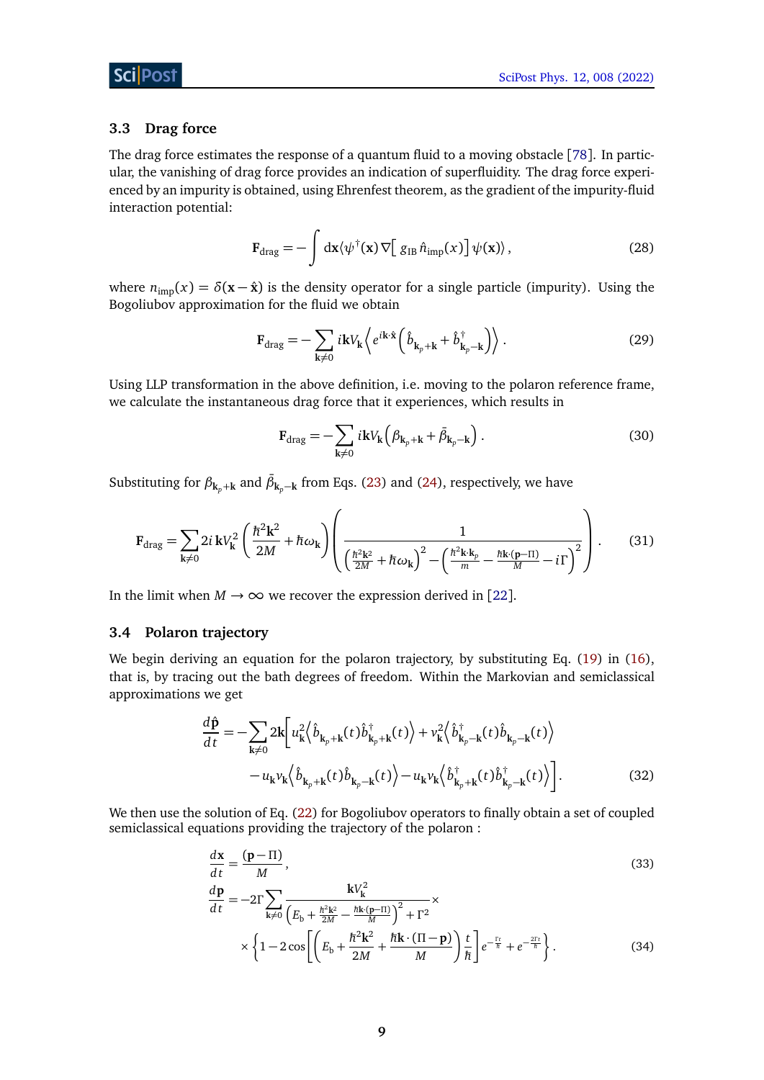### <span id="page-8-0"></span>**3.3 Drag force**

The drag force estimates the response of a quantum fluid to a moving obstacle [[78](#page-20-9)]. In particular, the vanishing of drag force provides an indication of superfluidity. The drag force experienced by an impurity is obtained, using Ehrenfest theorem, as the gradient of the impurity-fluid interaction potential:

$$
\mathbf{F}_{\text{drag}} = -\int \mathrm{d}\mathbf{x} \langle \psi^{\dagger}(\mathbf{x}) \nabla \big[ g_{\text{IB}} \hat{n}_{\text{imp}}(x) \big] \psi(\mathbf{x}) \rangle, \tag{28}
$$

where  $n_{\text{imp}}(x) = \delta(x - \hat{x})$  is the density operator for a single particle (impurity). Using the Bogoliubov approximation for the fluid we obtain

$$
\mathbf{F}_{\text{drag}} = -\sum_{\mathbf{k} \neq 0} i\mathbf{k}V_{\mathbf{k}} \left\langle e^{i\mathbf{k}\cdot\hat{\mathbf{x}}} \left(\hat{b}_{\mathbf{k}_{p}+\mathbf{k}} + \hat{b}_{\mathbf{k}_{p}-\mathbf{k}}^{\dagger}\right) \right\rangle.
$$
 (29)

Using LLP transformation in the above definition, i.e. moving to the polaron reference frame, we calculate the instantaneous drag force that it experiences, which results in

<span id="page-8-2"></span>
$$
\mathbf{F}_{\text{drag}} = -\sum_{\mathbf{k} \neq 0} i\mathbf{k}V_{\mathbf{k}} \left(\beta_{\mathbf{k}_p + \mathbf{k}} + \bar{\beta}_{\mathbf{k}_p - \mathbf{k}}\right). \tag{30}
$$

Substituting for  $\beta_{k_p+k}$  and  $\bar{\beta}_{k_p-k}$  from Eqs. [\(23\)](#page-7-3) and [\(24\)](#page-7-4), respectively, we have

$$
\mathbf{F}_{\text{drag}} = \sum_{\mathbf{k} \neq 0} 2i \, \mathbf{k} V_{\mathbf{k}}^2 \left( \frac{\hbar^2 \mathbf{k}^2}{2M} + \hbar \omega_{\mathbf{k}} \right) \left( \frac{1}{\left( \frac{\hbar^2 \mathbf{k}^2}{2M} + \hbar \omega_{\mathbf{k}} \right)^2 - \left( \frac{\hbar^2 \mathbf{k} \cdot \mathbf{k}_p}{m} - \frac{\hbar \mathbf{k} \cdot (\mathbf{p} - \Pi)}{M} - i \Gamma \right)^2} \right). \tag{31}
$$

In the limit when  $M \to \infty$  we recover the expression derived in [[22](#page-16-11)].

#### <span id="page-8-1"></span>**3.4 Polaron trajectory**

We begin deriving an equation for the polaron trajectory, by substituting Eq. [\(19\)](#page-6-3) in [\(16\)](#page-6-5), that is, by tracing out the bath degrees of freedom. Within the Markovian and semiclassical approximations we get

$$
\frac{d\hat{\mathbf{p}}}{dt} = -\sum_{\mathbf{k}\neq 0} 2\mathbf{k} \bigg[ u_{\mathbf{k}}^2 \big\langle \hat{b}_{\mathbf{k}_p+\mathbf{k}}(t) \hat{b}_{\mathbf{k}_p+\mathbf{k}}^{\dagger}(t) \big\rangle + v_{\mathbf{k}}^2 \big\langle \hat{b}_{\mathbf{k}_p-\mathbf{k}}^{\dagger}(t) \hat{b}_{\mathbf{k}_p-\mathbf{k}}(t) \big\rangle \n- u_{\mathbf{k}} v_{\mathbf{k}} \big\langle \hat{b}_{\mathbf{k}_p+\mathbf{k}}(t) \hat{b}_{\mathbf{k}_p-\mathbf{k}}(t) \big\rangle - u_{\mathbf{k}} v_{\mathbf{k}} \big\langle \hat{b}_{\mathbf{k}_p+\mathbf{k}}^{\dagger}(t) \hat{b}_{\mathbf{k}_p-\mathbf{k}}^{\dagger}(t) \big\rangle \bigg].
$$
\n(32)

We then use the solution of Eq. [\(22\)](#page-7-1) for Bogoliubov operators to finally obtain a set of coupled semiclassical equations providing the trajectory of the polaron :

$$
\frac{d\mathbf{x}}{dt} = \frac{(\mathbf{p} - \Pi)}{M},
$$
\n
$$
\frac{d\mathbf{p}}{dt} = -2\Gamma \sum_{\mathbf{k} \neq 0} \frac{\mathbf{k}V_{\mathbf{k}}^2}{\left(E_{\mathbf{b}} + \frac{\hbar^2 \mathbf{k}^2}{2M} - \frac{\hbar \mathbf{k} \cdot (\mathbf{p} - \Pi)}{M}\right)^2 + \Gamma^2}
$$
\n(33)

<span id="page-8-4"></span><span id="page-8-3"></span>
$$
\times \left\{ 1 - 2\cos\left[ \left( E_b + \frac{\hbar^2 \mathbf{k}^2}{2M} + \frac{\hbar \mathbf{k} \cdot (\Pi - \mathbf{p})}{M} \right) \frac{t}{\hbar} \right] e^{-\frac{\Gamma t}{\hbar}} + e^{-\frac{2\Gamma t}{\hbar}} \right\}.
$$
 (34)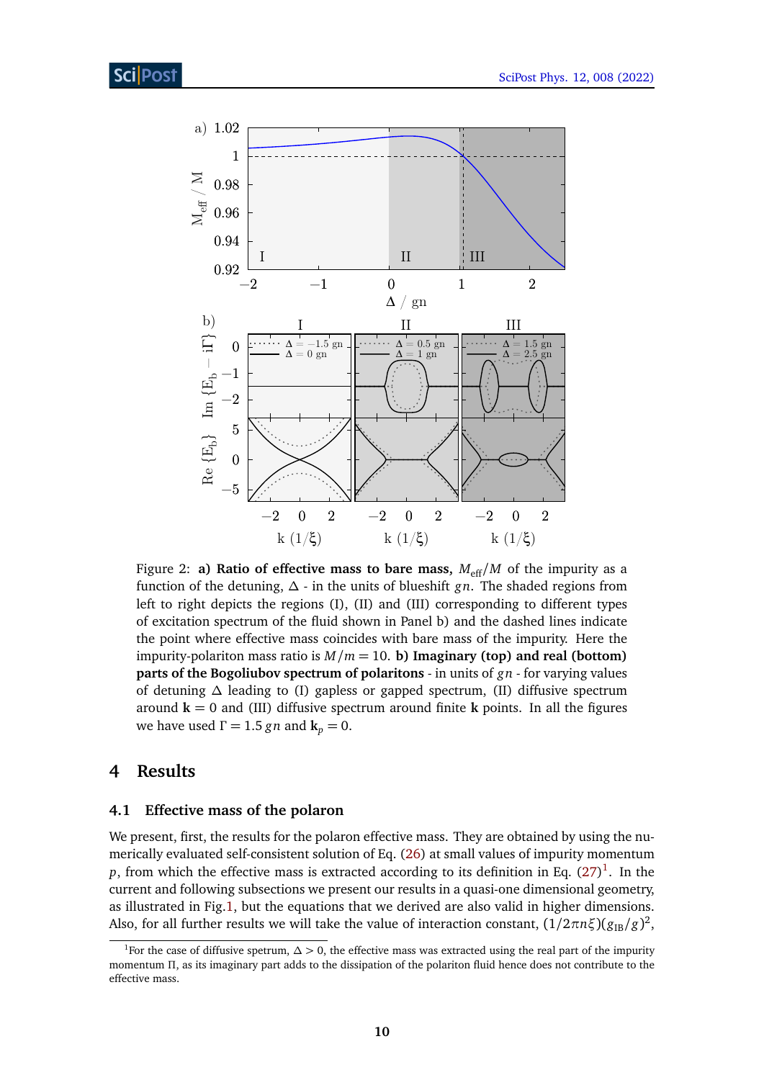<span id="page-9-2"></span>

Figure 2: **a) Ratio of effective mass to bare mass,**  $M_{\text{eff}}/M$  of the impurity as a function of the detuning, *∆* - in the units of blueshift *gn*. The shaded regions from left to right depicts the regions (I), (II) and (III) corresponding to different types of excitation spectrum of the fluid shown in Panel b) and the dashed lines indicate the point where effective mass coincides with bare mass of the impurity. Here the impurity-polariton mass ratio is  $M/m = 10$ . **b) Imaginary (top) and real (bottom) parts of the Bogoliubov spectrum of polaritons** - in units of *gn* - for varying values of detuning *∆* leading to (I) gapless or gapped spectrum, (II) diffusive spectrum around  $\mathbf{k} = 0$  and (III) diffusive spectrum around finite **k** points. In all the figures we have used  $\Gamma = 1.5$  *gn* and  $\mathbf{k}_p = 0$ .

### <span id="page-9-0"></span>**4 Results**

### <span id="page-9-1"></span>**4.1 Effective mass of the polaron**

We present, first, the results for the polaron effective mass. They are obtained by using the numerically evaluated self-consistent solution of Eq. [\(26\)](#page-7-5) at small values of impurity momentum  $p,$  from which the effective mass is extracted according to its definition in Eq.  $(27)^1.$  $(27)^1.$  $(27)^1.$  $(27)^1.$  In the current and following subsections we present our results in a quasi-one dimensional geometry, as illustrated in Fig[.1,](#page-3-1) but the equations that we derived are also valid in higher dimensions. Also, for all further results we will take the value of interaction constant,  $(1/2\pi n \xi)(g_{\text{IB}}/g)^2$ ,

<span id="page-9-3"></span><sup>1</sup>For the case of diffusive spetrum, *∆ >* 0, the effective mass was extracted using the real part of the impurity momentum *Π*, as its imaginary part adds to the dissipation of the polariton fluid hence does not contribute to the effective mass.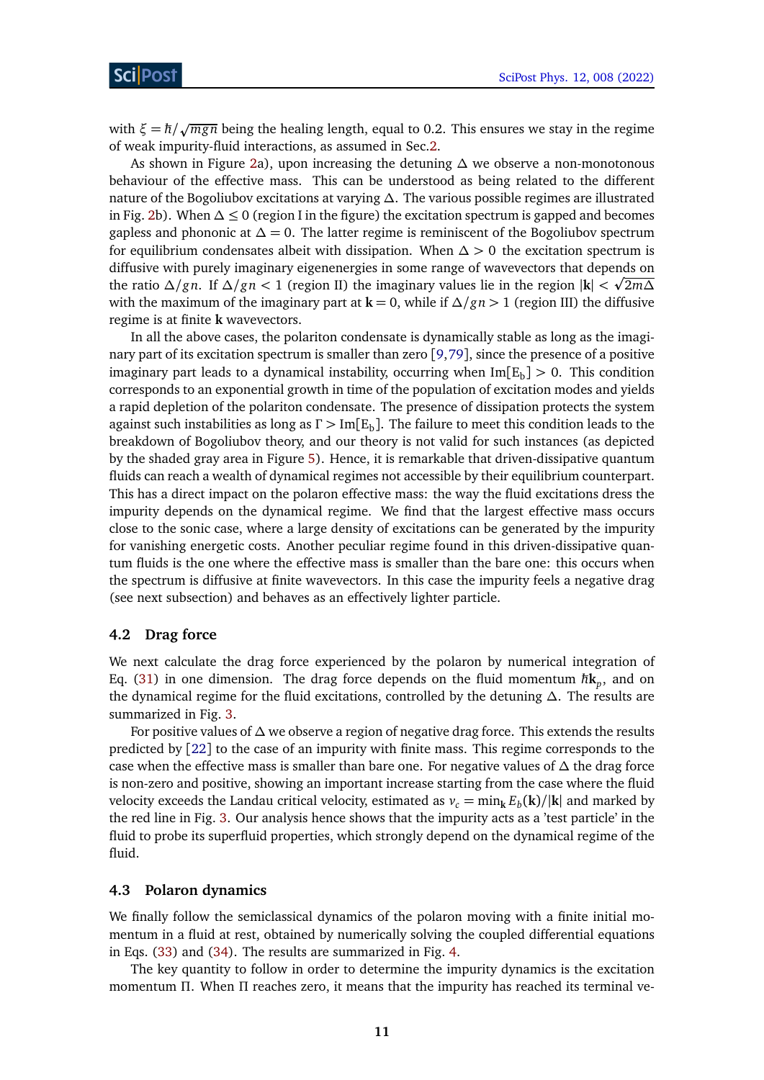with  $\xi = \hbar/\sqrt{mg\pi}$  being the healing length, equal to 0.2. This ensures we stay in the regime of weak impurity-fluid interactions, as assumed in Sec[.2.](#page-2-0)

As shown in Figure [2a](#page-9-2)), upon increasing the detuning *∆* we observe a non-monotonous behaviour of the effective mass. This can be understood as being related to the different nature of the Bogoliubov excitations at varying *∆*. The various possible regimes are illustrated in Fig. [2b](#page-9-2)). When *∆* ≤ 0 (region I in the figure) the excitation spectrum is gapped and becomes gapless and phononic at  $\Delta = 0$ . The latter regime is reminiscent of the Bogoliubov spectrum for equilibrium condensates albeit with dissipation. When *∆ >* 0 the excitation spectrum is diffusive with purely imaginary eigenenergies in some range of wavevectors that depends on p the ratio *∆/gn*. If *∆/gn <* 1 (region II) the imaginary values lie in the region |**k**| *<* 2*m∆* with the maximum of the imaginary part at **k** = 0, while if *∆/gn >* 1 (region III) the diffusive regime is at finite **k** wavevectors.

In all the above cases, the polariton condensate is dynamically stable as long as the imaginary part of its excitation spectrum is smaller than zero [[9,](#page-16-1)[79](#page-20-10)], since the presence of a positive imaginary part leads to a dynamical instability, occurring when  ${\rm Im} [E_{\rm b}]>0.$  This condition corresponds to an exponential growth in time of the population of excitation modes and yields a rapid depletion of the polariton condensate. The presence of dissipation protects the system against such instabilities as long as Γ > Im[E<sub>b</sub>]. The failure to meet this condition leads to the breakdown of Bogoliubov theory, and our theory is not valid for such instances (as depicted by the shaded gray area in Figure [5\)](#page-13-1). Hence, it is remarkable that driven-dissipative quantum fluids can reach a wealth of dynamical regimes not accessible by their equilibrium counterpart. This has a direct impact on the polaron effective mass: the way the fluid excitations dress the impurity depends on the dynamical regime. We find that the largest effective mass occurs close to the sonic case, where a large density of excitations can be generated by the impurity for vanishing energetic costs. Another peculiar regime found in this driven-dissipative quantum fluids is the one where the effective mass is smaller than the bare one: this occurs when the spectrum is diffusive at finite wavevectors. In this case the impurity feels a negative drag (see next subsection) and behaves as an effectively lighter particle.

#### <span id="page-10-0"></span>**4.2 Drag force**

We next calculate the drag force experienced by the polaron by numerical integration of Eq. [\(31\)](#page-8-2) in one dimension. The drag force depends on the fluid momentum  $\hbar \mathbf{k}_p$ , and on the dynamical regime for the fluid excitations, controlled by the detuning *∆*. The results are summarized in Fig. [3.](#page-11-0)

For positive values of *∆* we observe a region of negative drag force. This extends the results predicted by [[22](#page-16-11)] to the case of an impurity with finite mass. This regime corresponds to the case when the effective mass is smaller than bare one. For negative values of *∆* the drag force is non-zero and positive, showing an important increase starting from the case where the fluid velocity exceeds the Landau critical velocity, estimated as  $v_c = \min_{\mathbf{k}} E_b(\mathbf{k})/|\mathbf{k}|$  and marked by the red line in Fig. [3.](#page-11-0) Our analysis hence shows that the impurity acts as a 'test particle' in the fluid to probe its superfluid properties, which strongly depend on the dynamical regime of the fluid.

### <span id="page-10-1"></span>**4.3 Polaron dynamics**

We finally follow the semiclassical dynamics of the polaron moving with a finite initial momentum in a fluid at rest, obtained by numerically solving the coupled differential equations in Eqs. [\(33\)](#page-8-3) and [\(34\)](#page-8-4). The results are summarized in Fig. [4.](#page-12-1)

The key quantity to follow in order to determine the impurity dynamics is the excitation momentum *Π*. When *Π* reaches zero, it means that the impurity has reached its terminal ve-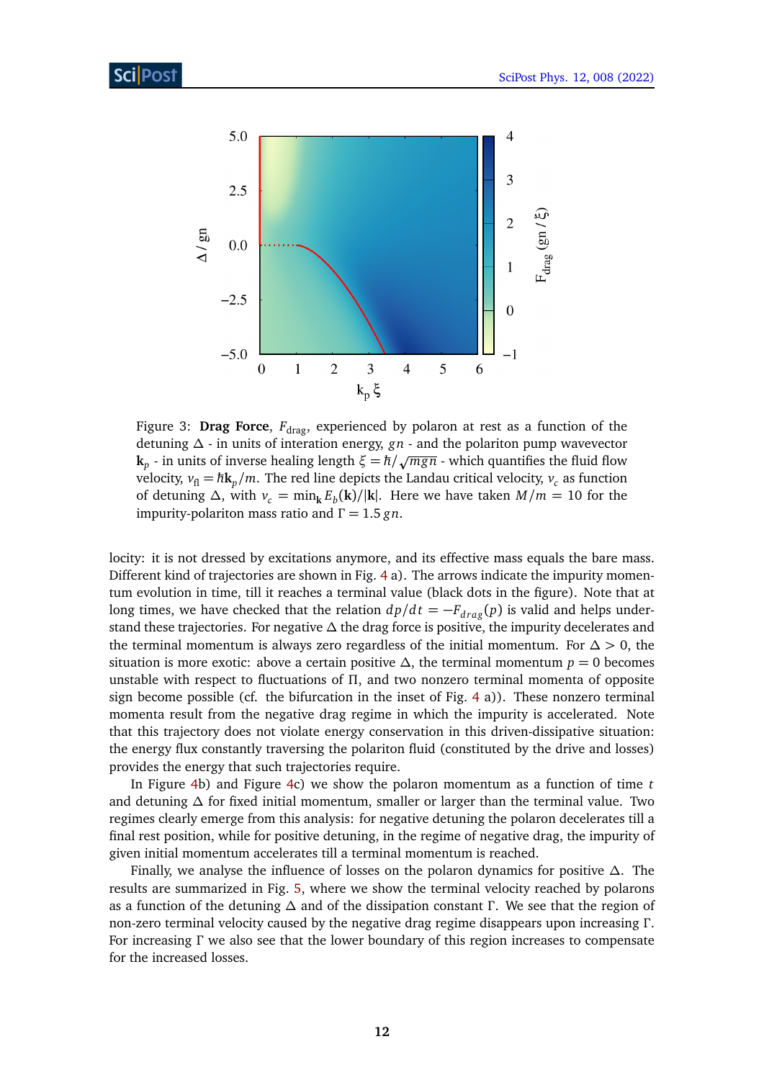<span id="page-11-0"></span>

Figure 3: Drag Force,  $F_{drag}$ , experienced by polaron at rest as a function of the detuning *∆* - in units of interation energy, *gn* - and the polariton pump wavevector **k**<sub>*p*</sub> - in units of interation energy, gn - and the polariton pump wavevector  $k_p$  - in units of inverse healing length  $\xi = \hbar / \sqrt{mgn}$  - which quantifies the fluid flow velocity,  $v_{\rm fl} = \hbar k_p/m$ . The red line depicts the Landau critical velocity,  $v_c$  as function of detuning  $\Delta$ , with  $v_c = \min_k E_b(\mathbf{k})/|\mathbf{k}|$ . Here we have taken  $M/m = 10$  for the impurity-polariton mass ratio and *Γ* = 1.5 *gn*.

locity: it is not dressed by excitations anymore, and its effective mass equals the bare mass. Different kind of trajectories are shown in Fig. [4](#page-12-1) a). The arrows indicate the impurity momentum evolution in time, till it reaches a terminal value (black dots in the figure). Note that at long times, we have checked that the relation  $dp/dt = -F_{drag}(p)$  is valid and helps understand these trajectories. For negative *∆* the drag force is positive, the impurity decelerates and the terminal momentum is always zero regardless of the initial momentum. For *∆ >* 0, the situation is more exotic: above a certain positive  $\Delta$ , the terminal momentum  $p = 0$  becomes unstable with respect to fluctuations of *Π*, and two nonzero terminal momenta of opposite sign become possible (cf. the bifurcation in the inset of Fig. [4](#page-12-1) a)). These nonzero terminal momenta result from the negative drag regime in which the impurity is accelerated. Note that this trajectory does not violate energy conservation in this driven-dissipative situation: the energy flux constantly traversing the polariton fluid (constituted by the drive and losses) provides the energy that such trajectories require.

In Figure [4b](#page-12-1)) and Figure [4c](#page-12-1)) we show the polaron momentum as a function of time *t* and detuning *∆* for fixed initial momentum, smaller or larger than the terminal value. Two regimes clearly emerge from this analysis: for negative detuning the polaron decelerates till a final rest position, while for positive detuning, in the regime of negative drag, the impurity of given initial momentum accelerates till a terminal momentum is reached.

Finally, we analyse the influence of losses on the polaron dynamics for positive *∆*. The results are summarized in Fig. [5,](#page-13-1) where we show the terminal velocity reached by polarons as a function of the detuning *∆* and of the dissipation constant *Γ* . We see that the region of non-zero terminal velocity caused by the negative drag regime disappears upon increasing *Γ* . For increasing *Γ* we also see that the lower boundary of this region increases to compensate for the increased losses.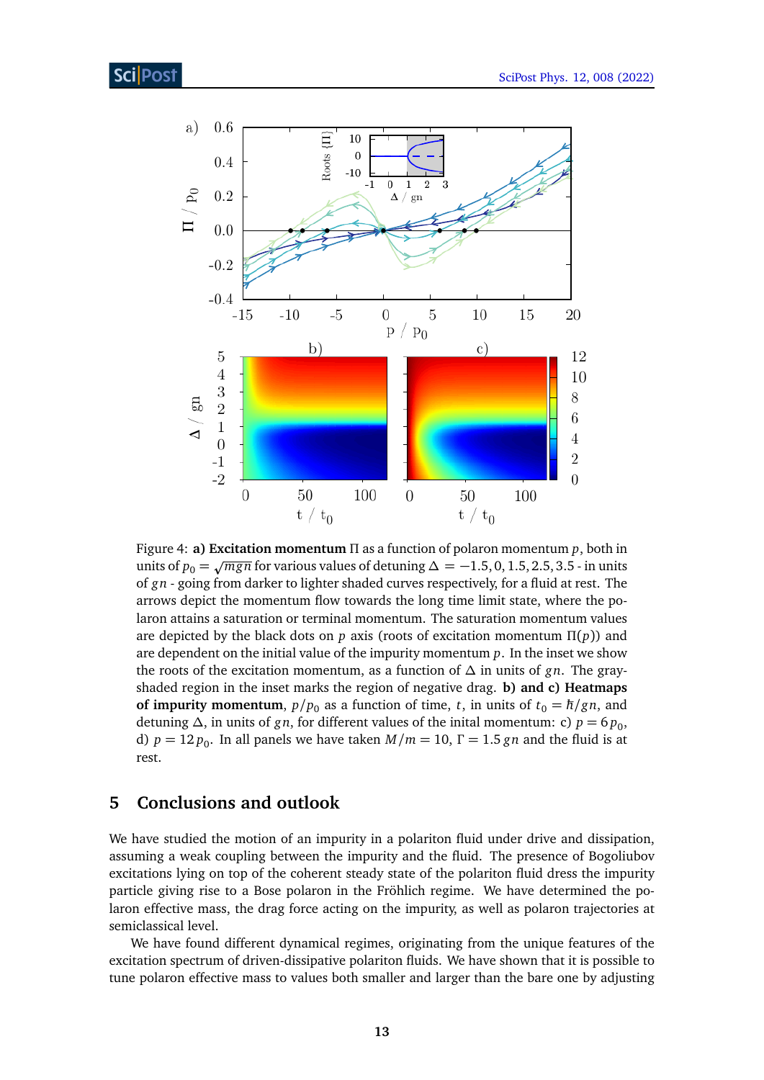<span id="page-12-1"></span>

Figure 4: **a) Excitation momentum** *Π* as a function of polaron momentum *p*, both in units of *p*<sup>0</sup> = <sup>p</sup>*mgn* for various values of detuning *<sup>∆</sup>* <sup>=</sup> <sup>−</sup>1.5, 0, 1.5, 2.5, 3.5 - in units of *gn* - going from darker to lighter shaded curves respectively, for a fluid at rest. The arrows depict the momentum flow towards the long time limit state, where the polaron attains a saturation or terminal momentum. The saturation momentum values are depicted by the black dots on *p* axis (roots of excitation momentum *Π*(*p*)) and are dependent on the initial value of the impurity momentum *p*. In the inset we show the roots of the excitation momentum, as a function of *∆* in units of *gn*. The grayshaded region in the inset marks the region of negative drag. **b) and c) Heatmaps of impurity momentum**,  $p/p_0$  as a function of time, *t*, in units of  $t_0 = \hbar/gn$ , and detuning  $\Delta$ , in units of *gn*, for different values of the inital momentum: c) *p* = 6*p*<sub>0</sub>, d)  $p = 12 p_0$ . In all panels we have taken  $M/m = 10$ ,  $\Gamma = 1.5 g n$  and the fluid is at rest.

## <span id="page-12-0"></span>**5 Conclusions and outlook**

We have studied the motion of an impurity in a polariton fluid under drive and dissipation, assuming a weak coupling between the impurity and the fluid. The presence of Bogoliubov excitations lying on top of the coherent steady state of the polariton fluid dress the impurity particle giving rise to a Bose polaron in the Fröhlich regime. We have determined the polaron effective mass, the drag force acting on the impurity, as well as polaron trajectories at semiclassical level.

We have found different dynamical regimes, originating from the unique features of the excitation spectrum of driven-dissipative polariton fluids. We have shown that it is possible to tune polaron effective mass to values both smaller and larger than the bare one by adjusting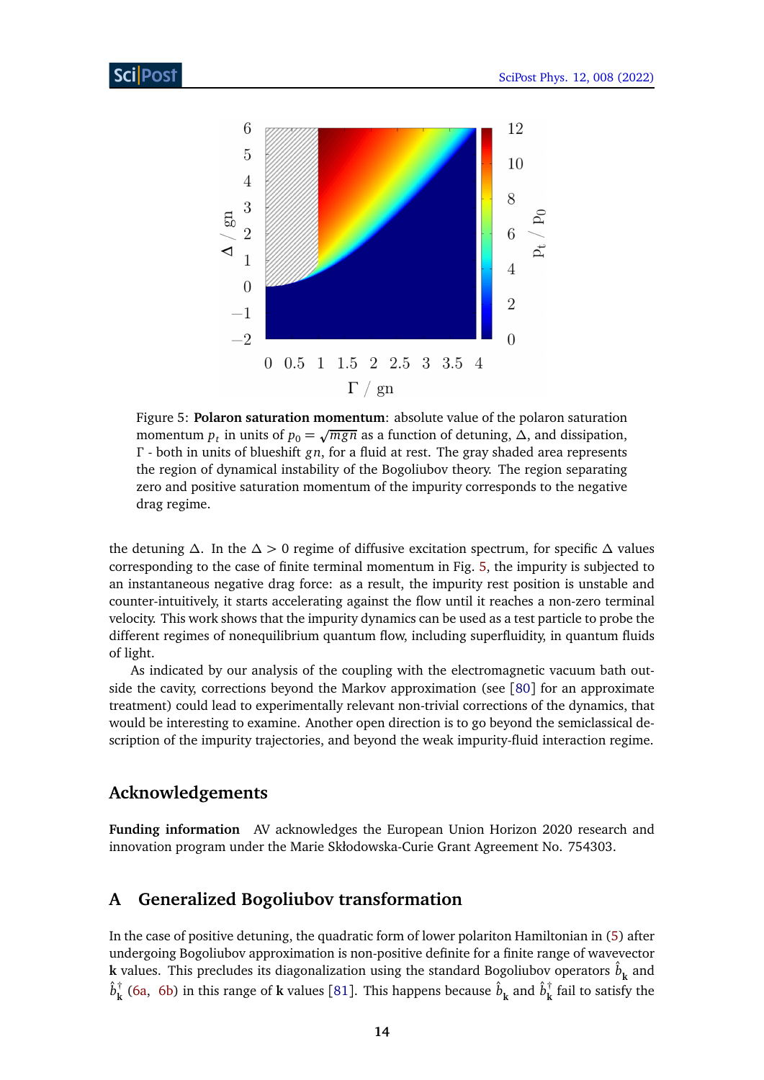<span id="page-13-1"></span>

Figure 5: **Polaron saturation momentum**: absolute value of the polaron saturation momentum *p*<sub>t</sub> in units of  $p_0 = \sqrt{mgn}$  as a function of detuning,  $\Delta$ , and dissipation, *Γ* - both in units of blueshift *gn*, for a fluid at rest. The gray shaded area represents the region of dynamical instability of the Bogoliubov theory. The region separating zero and positive saturation momentum of the impurity corresponds to the negative drag regime.

the detuning *∆*. In the *∆ >* 0 regime of diffusive excitation spectrum, for specific *∆* values corresponding to the case of finite terminal momentum in Fig. [5,](#page-13-1) the impurity is subjected to an instantaneous negative drag force: as a result, the impurity rest position is unstable and counter-intuitively, it starts accelerating against the flow until it reaches a non-zero terminal velocity. This work shows that the impurity dynamics can be used as a test particle to probe the different regimes of nonequilibrium quantum flow, including superfluidity, in quantum fluids of light.

As indicated by our analysis of the coupling with the electromagnetic vacuum bath outside the cavity, corrections beyond the Markov approximation (see [[80](#page-20-11)] for an approximate treatment) could lead to experimentally relevant non-trivial corrections of the dynamics, that would be interesting to examine. Another open direction is to go beyond the semiclassical description of the impurity trajectories, and beyond the weak impurity-fluid interaction regime.

### **Acknowledgements**

**Funding information** AV acknowledges the European Union Horizon 2020 research and innovation program under the Marie Skłodowska-Curie Grant Agreement No. 754303.

### <span id="page-13-0"></span>**A Generalized Bogoliubov transformation**

In the case of positive detuning, the quadratic form of lower polariton Hamiltonian in [\(5\)](#page-4-0) after undergoing Bogoliubov approximation is non-positive definite for a finite range of wavevector  ${\bf k}$  values. This precludes its diagonalization using the standard Bogoliubov operators  $\hat{b}^{\phantom{\dag}}_{\bf k}$  and  $\hat{b}^{\dagger}_{\bf k}$  $\frac{\hbar}{\hbar}$  [\(6a,](#page-2-2) [6b\)](#page-2-1) in this range of **k** values [[81](#page-20-12)]. This happens because  $\hat{b}^{}_{\hbar}$  and  $\hat{b}^{\dagger}_{\hbar}$ **k** fail to satisfy the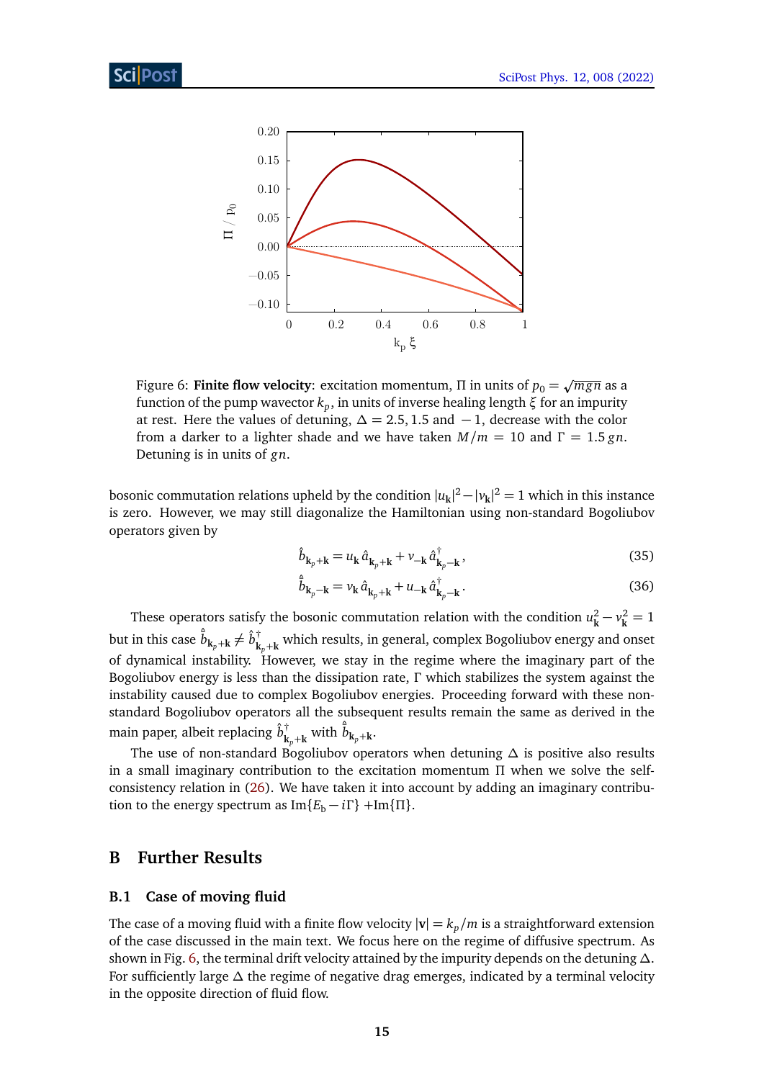<span id="page-14-2"></span>

Figure 6: **Finite flow velocity**: excitation momentum,  $\Pi$  in units of  $p_0 = \sqrt{mgn}$  as a function of the pump wavector *k<sup>p</sup>* , in units of inverse healing length *ξ* for an impurity at rest. Here the values of detuning,  $\Delta = 2.5, 1.5$  and  $-1$ , decrease with the color from a darker to a lighter shade and we have taken  $M/m = 10$  and  $\Gamma = 1.5$  gn. Detuning is in units of *gn*.

bosonic commutation relations upheld by the condition  $|u_{\bf k}|^2 - |v_{\bf k}|^2 = 1$  which in this instance is zero. However, we may still diagonalize the Hamiltonian using non-standard Bogoliubov operators given by

$$
\hat{b}_{\mathbf{k}_p + \mathbf{k}} = u_{\mathbf{k}} \hat{a}_{\mathbf{k}_p + \mathbf{k}} + v_{-\mathbf{k}} \hat{a}_{\mathbf{k}_p - \mathbf{k}}^\dagger,\tag{35}
$$

$$
\hat{\overline{b}}_{\mathbf{k}_p - \mathbf{k}} = v_{\mathbf{k}} \hat{a}_{\mathbf{k}_p + \mathbf{k}} + u_{-\mathbf{k}} \hat{a}_{\mathbf{k}_p - \mathbf{k}}^{\dagger}.
$$
 (36)

These operators satisfy the bosonic commutation relation with the condition  $u^2_{\nu}$  $v_k^2 - v_k^2 = 1$ but in this case  $\hat{\bar{b}}_{\mathbf{k}_p+\mathbf{k}} \neq \hat{b}^\dagger_{\mathbf{k}}$  $\bf{k}_{p}$ + $\bf{k}$  which results, in general, complex Bogoliubov energy and onset of dynamical instability. However, we stay in the regime where the imaginary part of the Bogoliubov energy is less than the dissipation rate, *Γ* which stabilizes the system against the instability caused due to complex Bogoliubov energies. Proceeding forward with these nonstandard Bogoliubov operators all the subsequent results remain the same as derived in the main paper, albeit replacing  $\hat{b}^{\dagger}_{\pmb{\nu}}$  $\hat{\bar{b}}_{\mathbf{k}_p+\mathbf{k}}$  with  $\hat{\bar{b}}_{\mathbf{k}_p+\mathbf{k}}$ .

The use of non-standard Bogoliubov operators when detuning *∆* is positive also results in a small imaginary contribution to the excitation momentum *Π* when we solve the selfconsistency relation in [\(26\)](#page-7-5). We have taken it into account by adding an imaginary contribution to the energy spectrum as  $Im{E_b - i\Gamma}$  +Im{ $\Pi$ }.

### <span id="page-14-0"></span>**B Further Results**

### <span id="page-14-1"></span>**B.1 Case of moving fluid**

The case of a moving fluid with a finite flow velocity  $|\mathbf{v}| = k_p/m$  is a straightforward extension of the case discussed in the main text. We focus here on the regime of diffusive spectrum. As shown in Fig. [6,](#page-14-2) the terminal drift velocity attained by the impurity depends on the detuning *∆*. For sufficiently large *∆* the regime of negative drag emerges, indicated by a terminal velocity in the opposite direction of fluid flow.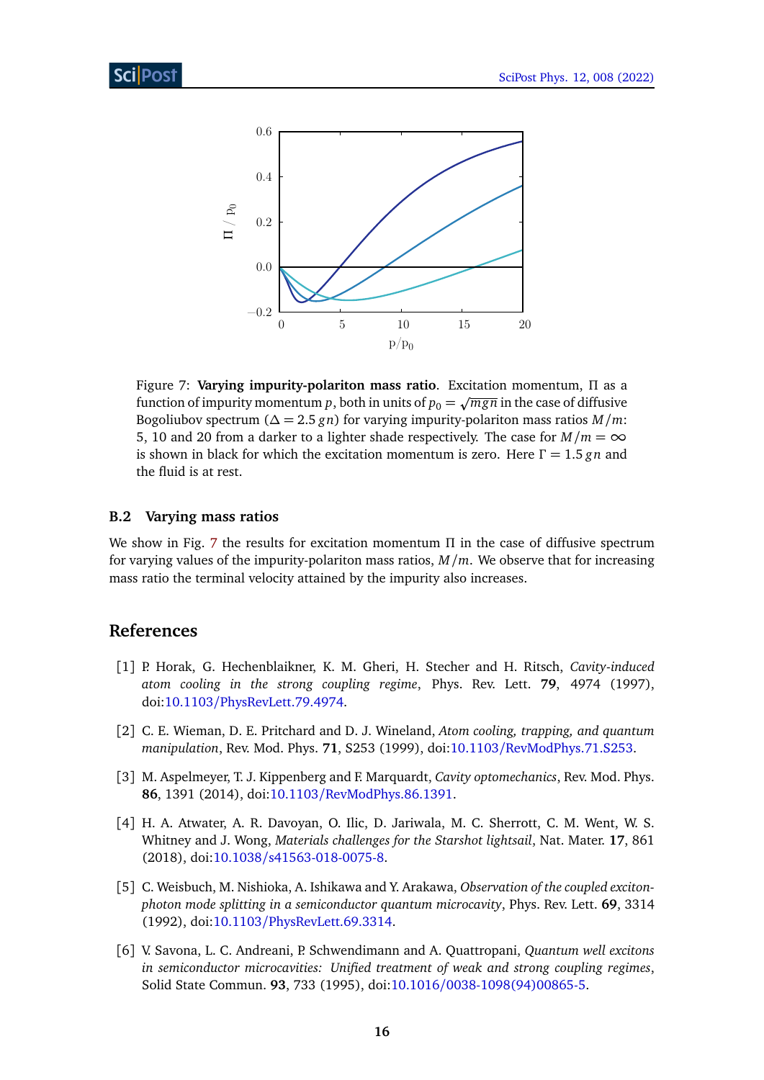<span id="page-15-6"></span>

Figure 7: **Varying impurity-polariton mass ratio**. Excitation momentum, *Π* as a Figure 7. **Varying impurity-polation mass ratio**. Excludion momentum, it as a function of impurity momentum *p*, both in units of  $p_0 = \sqrt{mgn}$  in the case of diffusive Bogoliubov spectrum ( $\Delta = 2.5$  *gn*) for varying impurity-polariton mass ratios *M*/*m*: 5, 10 and 20 from a darker to a lighter shade respectively. The case for  $M/m = \infty$ is shown in black for which the excitation momentum is zero. Here *Γ* = 1.5 *gn* and the fluid is at rest.

### <span id="page-15-0"></span>**B.2 Varying mass ratios**

We show in Fig. [7](#page-15-6) the results for excitation momentum *Π* in the case of diffusive spectrum for varying values of the impurity-polariton mass ratios, *M/m*. We observe that for increasing mass ratio the terminal velocity attained by the impurity also increases.

### **References**

- <span id="page-15-1"></span>[1] P. Horak, G. Hechenblaikner, K. M. Gheri, H. Stecher and H. Ritsch, *Cavity-induced atom cooling in the strong coupling regime*, Phys. Rev. Lett. **79**, 4974 (1997), doi:10.1103/[PhysRevLett.79.4974.](https://doi.org/10.1103/PhysRevLett.79.4974)
- <span id="page-15-2"></span>[2] C. E. Wieman, D. E. Pritchard and D. J. Wineland, *Atom cooling, trapping, and quantum manipulation*, Rev. Mod. Phys. **71**, S253 (1999), doi:10.1103/[RevModPhys.71.S253.](https://doi.org/10.1103/RevModPhys.71.S253)
- <span id="page-15-3"></span>[3] M. Aspelmeyer, T. J. Kippenberg and F. Marquardt, *Cavity optomechanics*, Rev. Mod. Phys. **86**, 1391 (2014), doi:10.1103/[RevModPhys.86.1391.](https://doi.org/10.1103/RevModPhys.86.1391)
- <span id="page-15-4"></span>[4] H. A. Atwater, A. R. Davoyan, O. Ilic, D. Jariwala, M. C. Sherrott, C. M. Went, W. S. Whitney and J. Wong, *Materials challenges for the Starshot lightsail*, Nat. Mater. **17**, 861 (2018), doi:10.1038/[s41563-018-0075-8.](https://doi.org/10.1038/s41563-018-0075-8)
- <span id="page-15-5"></span>[5] C. Weisbuch, M. Nishioka, A. Ishikawa and Y. Arakawa, *Observation of the coupled excitonphoton mode splitting in a semiconductor quantum microcavity*, Phys. Rev. Lett. **69**, 3314 (1992), doi:10.1103/[PhysRevLett.69.3314.](https://doi.org/10.1103/PhysRevLett.69.3314)
- [6] V. Savona, L. C. Andreani, P. Schwendimann and A. Quattropani, *Quantum well excitons in semiconductor microcavities: Unified treatment of weak and strong coupling regimes*, Solid State Commun. **93**, 733 (1995), doi:10.1016/[0038-1098\(94\)00865-5.](https://doi.org/10.1016/0038-1098(94)00865-5)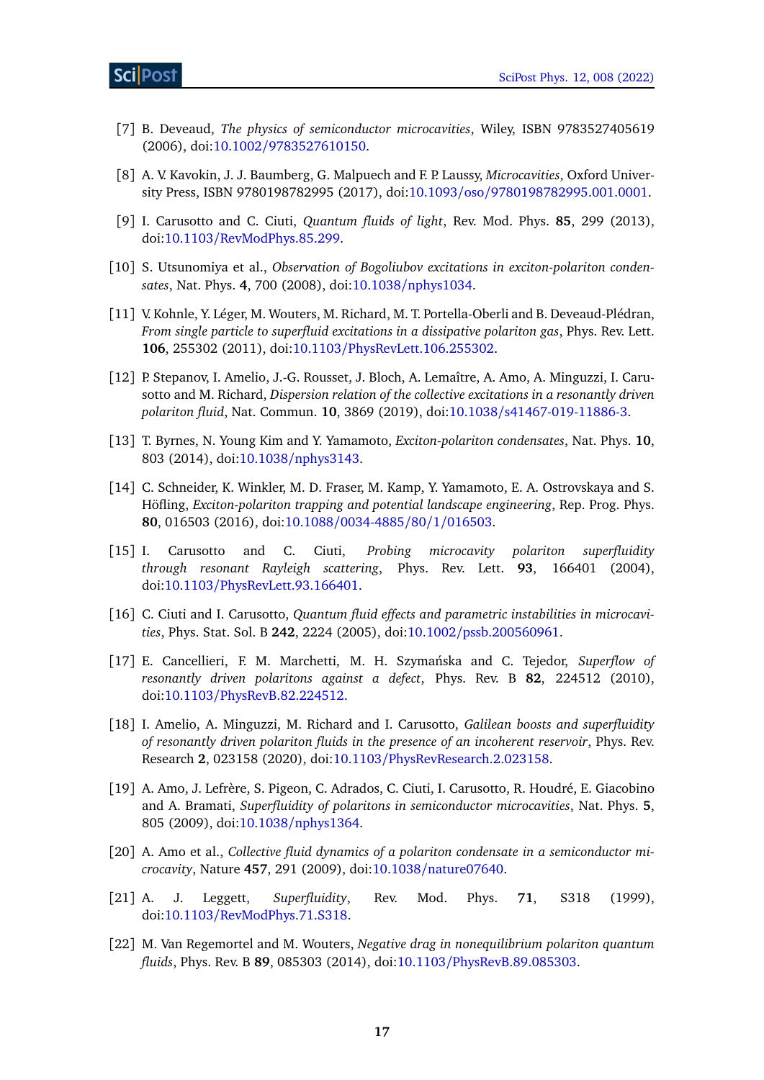- [7] B. Deveaud, *The physics of semiconductor microcavities*, Wiley, ISBN 9783527405619 (2006), doi:10.1002/[9783527610150.](https://doi.org/10.1002/9783527610150)
- <span id="page-16-0"></span>[8] A. V. Kavokin, J. J. Baumberg, G. Malpuech and F. P. Laussy, *Microcavities*, Oxford University Press, ISBN 9780198782995 (2017), doi:10.1093/oso/[9780198782995.001.0001.](https://doi.org/10.1093/oso/9780198782995.001.0001)
- <span id="page-16-1"></span>[9] I. Carusotto and C. Ciuti, *Quantum fluids of light*, Rev. Mod. Phys. **85**, 299 (2013), doi:10.1103/[RevModPhys.85.299.](https://doi.org/10.1103/RevModPhys.85.299)
- <span id="page-16-2"></span>[10] S. Utsunomiya et al., *Observation of Bogoliubov excitations in exciton-polariton condensates*, Nat. Phys. **4**, 700 (2008), doi:10.1038/[nphys1034.](https://doi.org/10.1038/nphys1034)
- [11] V. Kohnle, Y. Léger, M. Wouters, M. Richard, M. T. Portella-Oberli and B. Deveaud-Plédran, *From single particle to superfluid excitations in a dissipative polariton gas*, Phys. Rev. Lett. **106**, 255302 (2011), doi:10.1103/[PhysRevLett.106.255302.](https://doi.org/10.1103/PhysRevLett.106.255302)
- <span id="page-16-3"></span>[12] P. Stepanov, I. Amelio, J.-G. Rousset, J. Bloch, A. Lemaître, A. Amo, A. Minguzzi, I. Carusotto and M. Richard, *Dispersion relation of the collective excitations in a resonantly driven polariton fluid*, Nat. Commun. **10**, 3869 (2019), doi:10.1038/[s41467-019-11886-3.](https://doi.org/10.1038/s41467-019-11886-3)
- <span id="page-16-4"></span>[13] T. Byrnes, N. Young Kim and Y. Yamamoto, *Exciton-polariton condensates*, Nat. Phys. **10**, 803 (2014), doi:10.1038/[nphys3143.](https://doi.org/10.1038/nphys3143)
- <span id="page-16-5"></span>[14] C. Schneider, K. Winkler, M. D. Fraser, M. Kamp, Y. Yamamoto, E. A. Ostrovskaya and S. Höfling, *Exciton-polariton trapping and potential landscape engineering*, Rep. Prog. Phys. **80**, 016503 (2016), doi:10.1088/[0034-4885](https://doi.org/10.1088/0034-4885/80/1/016503)/80/1/016503.
- <span id="page-16-6"></span>[15] I. Carusotto and C. Ciuti, *Probing microcavity polariton superfluidity through resonant Rayleigh scattering*, Phys. Rev. Lett. **93**, 166401 (2004), doi:10.1103/[PhysRevLett.93.166401.](https://doi.org/10.1103/PhysRevLett.93.166401)
- [16] C. Ciuti and I. Carusotto, *Quantum fluid effects and parametric instabilities in microcavities*, Phys. Stat. Sol. B **242**, 2224 (2005), doi:10.1002/[pssb.200560961.](https://doi.org/10.1002/pssb.200560961)
- [17] E. Cancellieri, F. M. Marchetti, M. H. Szymanska and C. Tejedor, ´ *Superflow of resonantly driven polaritons against a defect*, Phys. Rev. B **82**, 224512 (2010), doi:10.1103/[PhysRevB.82.224512.](https://doi.org/10.1103/PhysRevB.82.224512)
- <span id="page-16-7"></span>[18] I. Amelio, A. Minguzzi, M. Richard and I. Carusotto, *Galilean boosts and superfluidity of resonantly driven polariton fluids in the presence of an incoherent reservoir*, Phys. Rev. Research **2**, 023158 (2020), doi:10.1103/[PhysRevResearch.2.023158.](https://doi.org/10.1103/PhysRevResearch.2.023158)
- <span id="page-16-8"></span>[19] A. Amo, J. Lefrère, S. Pigeon, C. Adrados, C. Ciuti, I. Carusotto, R. Houdré, E. Giacobino and A. Bramati, *Superfluidity of polaritons in semiconductor microcavities*, Nat. Phys. **5**, 805 (2009), doi:10.1038/[nphys1364.](https://doi.org/10.1038/nphys1364)
- <span id="page-16-9"></span>[20] A. Amo et al., *Collective fluid dynamics of a polariton condensate in a semiconductor microcavity*, Nature **457**, 291 (2009), doi:10.1038/[nature07640.](https://doi.org/10.1038/nature07640)
- <span id="page-16-10"></span>[21] A. J. Leggett, *Superfluidity*, Rev. Mod. Phys. **71**, S318 (1999), doi:10.1103/[RevModPhys.71.S318.](https://doi.org/10.1103/RevModPhys.71.S318)
- <span id="page-16-11"></span>[22] M. Van Regemortel and M. Wouters, *Negative drag in nonequilibrium polariton quantum fluids*, Phys. Rev. B **89**, 085303 (2014), doi:10.1103/[PhysRevB.89.085303.](https://doi.org/10.1103/PhysRevB.89.085303)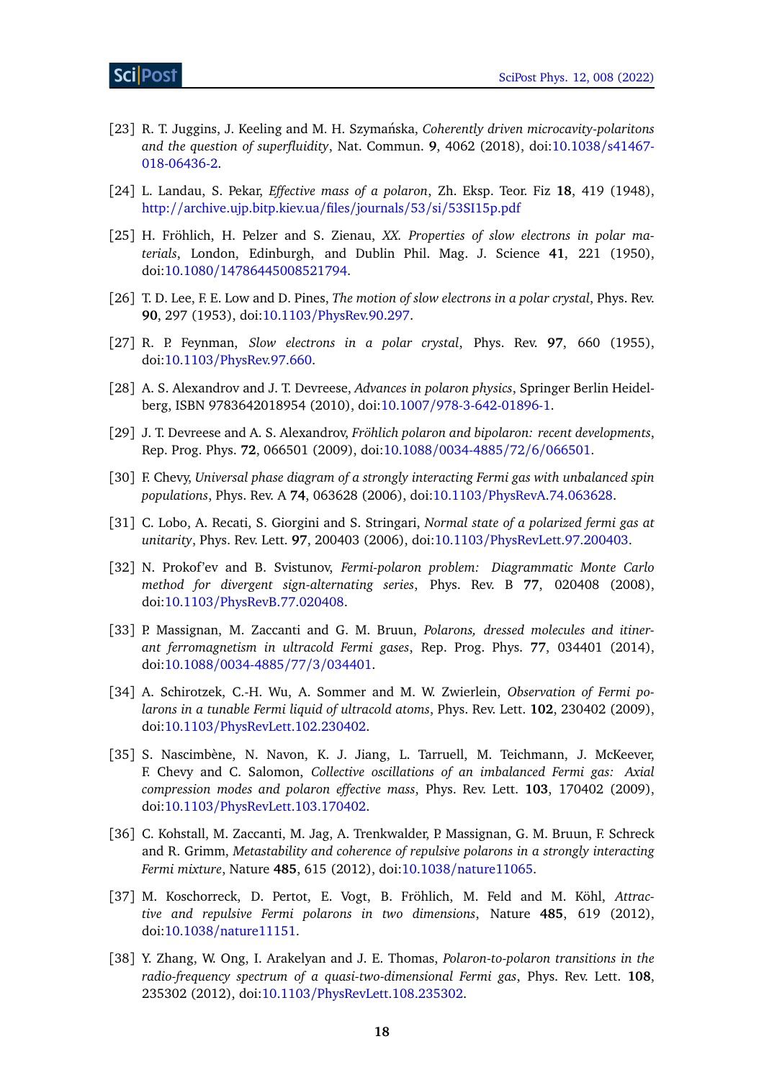- <span id="page-17-0"></span>[23] R. T. Juggins, J. Keeling and M. H. Szymanska, ´ *Coherently driven microcavity-polaritons and the question of superfluidity*, Nat. Commun. **9**, 4062 (2018), doi[:10.1038](https://doi.org/10.1038/s41467-018-06436-2)/s41467- [018-06436-2.](https://doi.org/10.1038/s41467-018-06436-2)
- <span id="page-17-1"></span>[24] L. Landau, S. Pekar, *Effective mass of a polaron*, Zh. Eksp. Teor. Fiz **18**, 419 (1948), http://[archive.ujp.bitp.kiev.ua](http://archive.ujp.bitp.kiev.ua/files/journals/53/si/53SI15p.pdf)/files/journals/53/si/53SI15p.pdf
- [25] H. Fröhlich, H. Pelzer and S. Zienau, *XX. Properties of slow electrons in polar materials*, London, Edinburgh, and Dublin Phil. Mag. J. Science **41**, 221 (1950), doi:10.1080/[14786445008521794.](https://doi.org/10.1080/14786445008521794)
- <span id="page-17-4"></span>[26] T. D. Lee, F. E. Low and D. Pines, *The motion of slow electrons in a polar crystal*, Phys. Rev. **90**, 297 (1953), doi:10.1103/[PhysRev.90.297.](https://doi.org/10.1103/PhysRev.90.297)
- [27] R. P. Feynman, *Slow electrons in a polar crystal*, Phys. Rev. **97**, 660 (1955), doi:10.1103/[PhysRev.97.660.](https://doi.org/10.1103/PhysRev.97.660)
- [28] A. S. Alexandrov and J. T. Devreese, *Advances in polaron physics*, Springer Berlin Heidelberg, ISBN 9783642018954 (2010), doi:10.1007/[978-3-642-01896-1.](https://doi.org/10.1007/978-3-642-01896-1)
- <span id="page-17-2"></span>[29] J. T. Devreese and A. S. Alexandrov, *Fröhlich polaron and bipolaron: recent developments*, Rep. Prog. Phys. **72**, 066501 (2009), doi:10.1088/[0034-4885](https://doi.org/10.1088/0034-4885/72/6/066501)/72/6/066501.
- <span id="page-17-3"></span>[30] F. Chevy, *Universal phase diagram of a strongly interacting Fermi gas with unbalanced spin populations*, Phys. Rev. A **74**, 063628 (2006), doi:10.1103/[PhysRevA.74.063628.](https://doi.org/10.1103/PhysRevA.74.063628)
- [31] C. Lobo, A. Recati, S. Giorgini and S. Stringari, *Normal state of a polarized fermi gas at unitarity*, Phys. Rev. Lett. **97**, 200403 (2006), doi:10.1103/[PhysRevLett.97.200403.](https://doi.org/10.1103/PhysRevLett.97.200403)
- [32] N. Prokof'ev and B. Svistunov, *Fermi-polaron problem: Diagrammatic Monte Carlo method for divergent sign-alternating series*, Phys. Rev. B **77**, 020408 (2008), doi:10.1103/[PhysRevB.77.020408.](https://doi.org/10.1103/PhysRevB.77.020408)
- [33] P. Massignan, M. Zaccanti and G. M. Bruun, *Polarons, dressed molecules and itinerant ferromagnetism in ultracold Fermi gases*, Rep. Prog. Phys. **77**, 034401 (2014), doi:10.1088/[0034-4885](https://doi.org/10.1088/0034-4885/77/3/034401)/77/3/034401.
- [34] A. Schirotzek, C.-H. Wu, A. Sommer and M. W. Zwierlein, *Observation of Fermi polarons in a tunable Fermi liquid of ultracold atoms*, Phys. Rev. Lett. **102**, 230402 (2009), doi:10.1103/[PhysRevLett.102.230402.](https://doi.org/10.1103/PhysRevLett.102.230402)
- [35] S. Nascimbène, N. Navon, K. J. Jiang, L. Tarruell, M. Teichmann, J. McKeever, F. Chevy and C. Salomon, *Collective oscillations of an imbalanced Fermi gas: Axial compression modes and polaron effective mass*, Phys. Rev. Lett. **103**, 170402 (2009), doi:10.1103/[PhysRevLett.103.170402.](https://doi.org/10.1103/PhysRevLett.103.170402)
- [36] C. Kohstall, M. Zaccanti, M. Jag, A. Trenkwalder, P. Massignan, G. M. Bruun, F. Schreck and R. Grimm, *Metastability and coherence of repulsive polarons in a strongly interacting Fermi mixture*, Nature **485**, 615 (2012), doi:10.1038/[nature11065.](https://doi.org/10.1038/nature11065)
- [37] M. Koschorreck, D. Pertot, E. Vogt, B. Fröhlich, M. Feld and M. Köhl, *Attractive and repulsive Fermi polarons in two dimensions*, Nature **485**, 619 (2012), doi:10.1038/[nature11151.](https://doi.org/10.1038/nature11151)
- [38] Y. Zhang, W. Ong, I. Arakelyan and J. E. Thomas, *Polaron-to-polaron transitions in the radio-frequency spectrum of a quasi-two-dimensional Fermi gas*, Phys. Rev. Lett. **108**, 235302 (2012), doi:10.1103/[PhysRevLett.108.235302.](https://doi.org/10.1103/PhysRevLett.108.235302)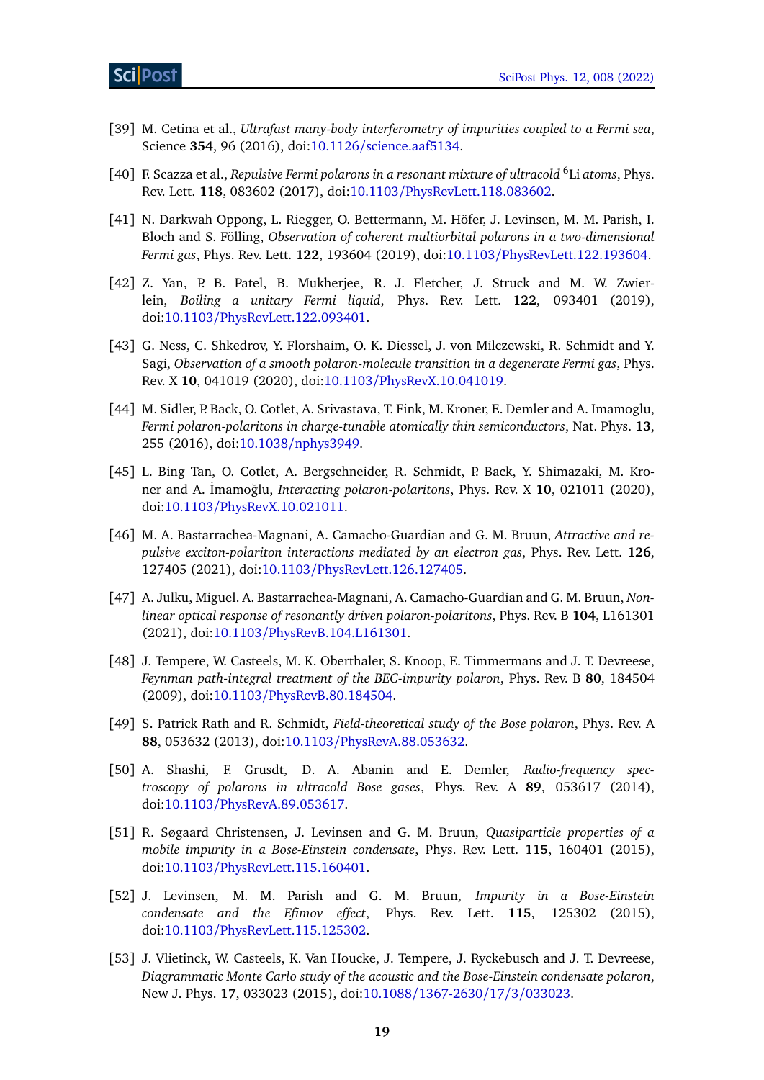- [39] M. Cetina et al., *Ultrafast many-body interferometry of impurities coupled to a Fermi sea*, Science **354**, 96 (2016), doi:10.1126/[science.aaf5134.](https://doi.org/10.1126/science.aaf5134)
- [40] F. Scazza et al., *Repulsive Fermi polarons in a resonant mixture of ultracold* <sup>6</sup> Li *atoms*, Phys. Rev. Lett. **118**, 083602 (2017), doi:10.1103/[PhysRevLett.118.083602.](https://doi.org/10.1103/PhysRevLett.118.083602)
- [41] N. Darkwah Oppong, L. Riegger, O. Bettermann, M. Höfer, J. Levinsen, M. M. Parish, I. Bloch and S. Fölling, *Observation of coherent multiorbital polarons in a two-dimensional Fermi gas*, Phys. Rev. Lett. **122**, 193604 (2019), doi:10.1103/[PhysRevLett.122.193604.](https://doi.org/10.1103/PhysRevLett.122.193604)
- [42] Z. Yan, P. B. Patel, B. Mukherjee, R. J. Fletcher, J. Struck and M. W. Zwierlein, *Boiling a unitary Fermi liquid*, Phys. Rev. Lett. **122**, 093401 (2019), doi:10.1103/[PhysRevLett.122.093401.](https://doi.org/10.1103/PhysRevLett.122.093401)
- <span id="page-18-0"></span>[43] G. Ness, C. Shkedrov, Y. Florshaim, O. K. Diessel, J. von Milczewski, R. Schmidt and Y. Sagi, *Observation of a smooth polaron-molecule transition in a degenerate Fermi gas*, Phys. Rev. X **10**, 041019 (2020), doi:10.1103/[PhysRevX.10.041019.](https://doi.org/10.1103/PhysRevX.10.041019)
- <span id="page-18-1"></span>[44] M. Sidler, P. Back, O. Cotlet, A. Srivastava, T. Fink, M. Kroner, E. Demler and A. Imamoglu, *Fermi polaron-polaritons in charge-tunable atomically thin semiconductors*, Nat. Phys. **13**, 255 (2016), doi:10.1038/[nphys3949.](https://doi.org/10.1038/nphys3949)
- <span id="page-18-2"></span>[45] L. Bing Tan, O. Cotlet, A. Bergschneider, R. Schmidt, P. Back, Y. Shimazaki, M. Kroner and A. İmamoğlu, *Interacting polaron-polaritons*, Phys. Rev. X 10, 021011 (2020), doi:10.1103/[PhysRevX.10.021011.](https://doi.org/10.1103/PhysRevX.10.021011)
- <span id="page-18-3"></span>[46] M. A. Bastarrachea-Magnani, A. Camacho-Guardian and G. M. Bruun, *Attractive and repulsive exciton-polariton interactions mediated by an electron gas*, Phys. Rev. Lett. **126**, 127405 (2021), doi:10.1103/[PhysRevLett.126.127405.](https://doi.org/10.1103/PhysRevLett.126.127405)
- <span id="page-18-4"></span>[47] A. Julku, Miguel. A. Bastarrachea-Magnani, A. Camacho-Guardian and G. M. Bruun, *Nonlinear optical response of resonantly driven polaron-polaritons*, Phys. Rev. B **104**, L161301 (2021), doi:10.1103/[PhysRevB.104.L161301.](https://doi.org/10.1103/PhysRevB.104.L161301)
- <span id="page-18-5"></span>[48] J. Tempere, W. Casteels, M. K. Oberthaler, S. Knoop, E. Timmermans and J. T. Devreese, *Feynman path-integral treatment of the BEC-impurity polaron*, Phys. Rev. B **80**, 184504 (2009), doi:10.1103/[PhysRevB.80.184504.](https://doi.org/10.1103/PhysRevB.80.184504)
- [49] S. Patrick Rath and R. Schmidt, *Field-theoretical study of the Bose polaron*, Phys. Rev. A **88**, 053632 (2013), doi:10.1103/[PhysRevA.88.053632.](https://doi.org/10.1103/PhysRevA.88.053632)
- <span id="page-18-6"></span>[50] A. Shashi, F. Grusdt, D. A. Abanin and E. Demler, *Radio-frequency spectroscopy of polarons in ultracold Bose gases*, Phys. Rev. A **89**, 053617 (2014), doi:10.1103/[PhysRevA.89.053617.](https://doi.org/10.1103/PhysRevA.89.053617)
- [51] R. Søgaard Christensen, J. Levinsen and G. M. Bruun, *Quasiparticle properties of a mobile impurity in a Bose-Einstein condensate*, Phys. Rev. Lett. **115**, 160401 (2015), doi:10.1103/[PhysRevLett.115.160401.](https://doi.org/10.1103/PhysRevLett.115.160401)
- [52] J. Levinsen, M. M. Parish and G. M. Bruun, *Impurity in a Bose-Einstein condensate and the Efimov effect*, Phys. Rev. Lett. **115**, 125302 (2015), doi:10.1103/[PhysRevLett.115.125302.](https://doi.org/10.1103/PhysRevLett.115.125302)
- [53] J. Vlietinck, W. Casteels, K. Van Houcke, J. Tempere, J. Ryckebusch and J. T. Devreese, *Diagrammatic Monte Carlo study of the acoustic and the Bose-Einstein condensate polaron*, New J. Phys. **17**, 033023 (2015), doi:10.1088/[1367-2630](https://doi.org/10.1088/1367-2630/17/3/033023)/17/3/033023.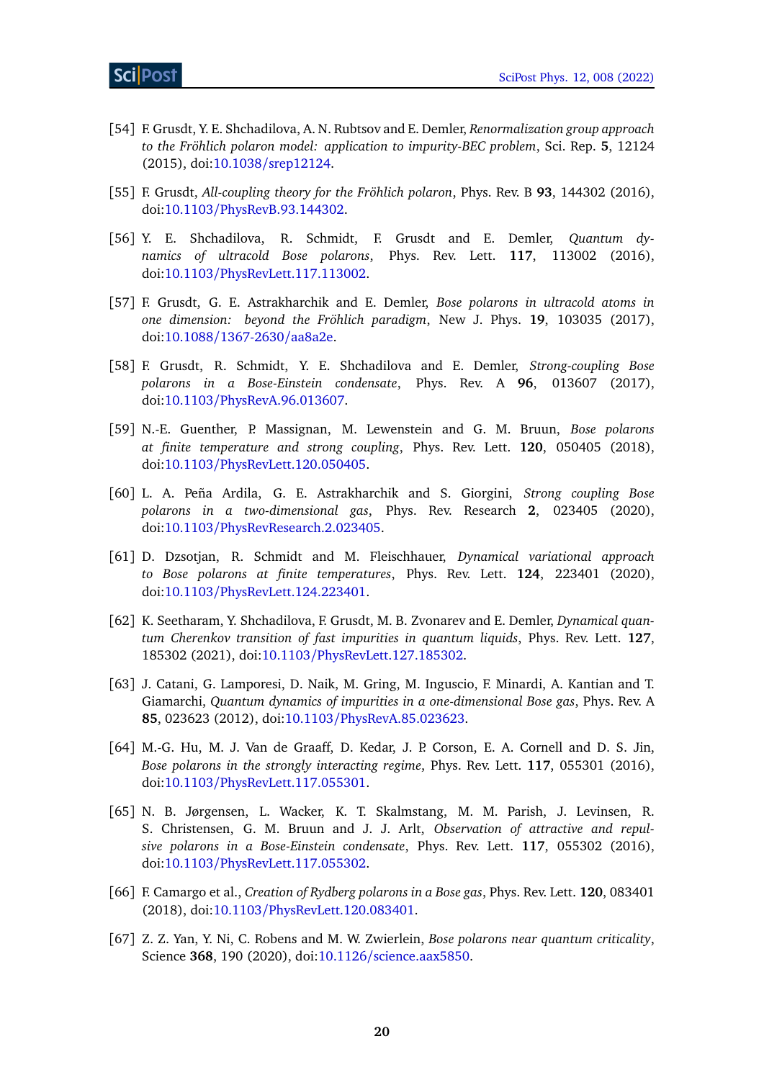- [54] F. Grusdt, Y. E. Shchadilova, A. N. Rubtsov and E. Demler, *Renormalization group approach to the Fröhlich polaron model: application to impurity-BEC problem*, Sci. Rep. **5**, 12124 (2015), doi:10.1038/[srep12124.](https://doi.org/10.1038/srep12124)
- <span id="page-19-2"></span>[55] F. Grusdt, *All-coupling theory for the Fröhlich polaron*, Phys. Rev. B **93**, 144302 (2016), doi:10.1103/[PhysRevB.93.144302.](https://doi.org/10.1103/PhysRevB.93.144302)
- [56] Y. E. Shchadilova, R. Schmidt, F. Grusdt and E. Demler, *Quantum dynamics of ultracold Bose polarons*, Phys. Rev. Lett. **117**, 113002 (2016), doi:10.1103/[PhysRevLett.117.113002.](https://doi.org/10.1103/PhysRevLett.117.113002)
- [57] F. Grusdt, G. E. Astrakharchik and E. Demler, *Bose polarons in ultracold atoms in one dimension: beyond the Fröhlich paradigm*, New J. Phys. **19**, 103035 (2017), doi:10.1088/[1367-2630](https://doi.org/10.1088/1367-2630/aa8a2e)/aa8a2e.
- [58] F. Grusdt, R. Schmidt, Y. E. Shchadilova and E. Demler, *Strong-coupling Bose polarons in a Bose-Einstein condensate*, Phys. Rev. A **96**, 013607 (2017), doi:10.1103/[PhysRevA.96.013607.](https://doi.org/10.1103/PhysRevA.96.013607)
- [59] N.-E. Guenther, P. Massignan, M. Lewenstein and G. M. Bruun, *Bose polarons at finite temperature and strong coupling*, Phys. Rev. Lett. **120**, 050405 (2018), doi:10.1103/[PhysRevLett.120.050405.](https://doi.org/10.1103/PhysRevLett.120.050405)
- [60] L. A. Peña Ardila, G. E. Astrakharchik and S. Giorgini, *Strong coupling Bose polarons in a two-dimensional gas*, Phys. Rev. Research **2**, 023405 (2020), doi:10.1103/[PhysRevResearch.2.023405.](https://doi.org/10.1103/PhysRevResearch.2.023405)
- [61] D. Dzsotjan, R. Schmidt and M. Fleischhauer, *Dynamical variational approach to Bose polarons at finite temperatures*, Phys. Rev. Lett. **124**, 223401 (2020), doi:10.1103/[PhysRevLett.124.223401.](https://doi.org/10.1103/PhysRevLett.124.223401)
- <span id="page-19-0"></span>[62] K. Seetharam, Y. Shchadilova, F. Grusdt, M. B. Zvonarev and E. Demler, *Dynamical quantum Cherenkov transition of fast impurities in quantum liquids*, Phys. Rev. Lett. **127**, 185302 (2021), doi:10.1103/[PhysRevLett.127.185302.](https://doi.org/10.1103/PhysRevLett.127.185302)
- <span id="page-19-1"></span>[63] J. Catani, G. Lamporesi, D. Naik, M. Gring, M. Inguscio, F. Minardi, A. Kantian and T. Giamarchi, *Quantum dynamics of impurities in a one-dimensional Bose gas*, Phys. Rev. A **85**, 023623 (2012), doi:10.1103/[PhysRevA.85.023623.](https://doi.org/10.1103/PhysRevA.85.023623)
- [64] M.-G. Hu, M. J. Van de Graaff, D. Kedar, J. P. Corson, E. A. Cornell and D. S. Jin, *Bose polarons in the strongly interacting regime*, Phys. Rev. Lett. **117**, 055301 (2016), doi:10.1103/[PhysRevLett.117.055301.](https://doi.org/10.1103/PhysRevLett.117.055301)
- [65] N. B. Jørgensen, L. Wacker, K. T. Skalmstang, M. M. Parish, J. Levinsen, R. S. Christensen, G. M. Bruun and J. J. Arlt, *Observation of attractive and repulsive polarons in a Bose-Einstein condensate*, Phys. Rev. Lett. **117**, 055302 (2016), doi:10.1103/[PhysRevLett.117.055302.](https://doi.org/10.1103/PhysRevLett.117.055302)
- [66] F. Camargo et al., *Creation of Rydberg polarons in a Bose gas*, Phys. Rev. Lett. **120**, 083401 (2018), doi:10.1103/[PhysRevLett.120.083401.](https://doi.org/10.1103/PhysRevLett.120.083401)
- [67] Z. Z. Yan, Y. Ni, C. Robens and M. W. Zwierlein, *Bose polarons near quantum criticality*, Science **368**, 190 (2020), doi:10.1126/[science.aax5850.](https://doi.org/10.1126/science.aax5850)